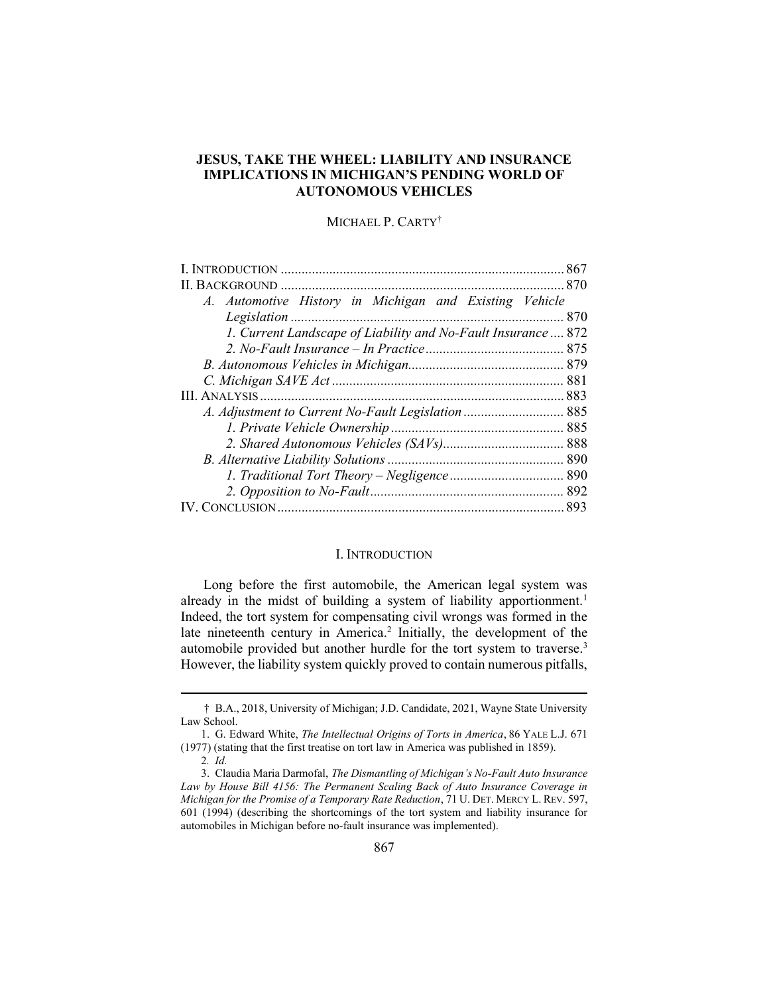# JESUS, TAKE THE WHEEL: LIABILITY AND INSURANCE IMPLICATIONS IN MICHIGAN'S PENDING WORLD OF AUTONOMOUS VEHICLES

# MICHAEL P. CARTY†

| A. Automotive History in Michigan and Existing Vehicle<br>1. Current Landscape of Liability and No-Fault Insurance  872 |  |
|-------------------------------------------------------------------------------------------------------------------------|--|
|                                                                                                                         |  |
|                                                                                                                         |  |
|                                                                                                                         |  |
|                                                                                                                         |  |
|                                                                                                                         |  |
|                                                                                                                         |  |
|                                                                                                                         |  |
|                                                                                                                         |  |
|                                                                                                                         |  |
|                                                                                                                         |  |
|                                                                                                                         |  |
|                                                                                                                         |  |
|                                                                                                                         |  |
|                                                                                                                         |  |
|                                                                                                                         |  |

#### I. INTRODUCTION

Long before the first automobile, the American legal system was already in the midst of building a system of liability apportionment.<sup>1</sup> Indeed, the tort system for compensating civil wrongs was formed in the late nineteenth century in America.<sup>2</sup> Initially, the development of the automobile provided but another hurdle for the tort system to traverse.<sup>3</sup> However, the liability system quickly proved to contain numerous pitfalls,

<sup>†</sup> B.A., 2018, University of Michigan; J.D. Candidate, 2021, Wayne State University Law School.

 <sup>1.</sup> G. Edward White, The Intellectual Origins of Torts in America, 86 YALE L.J. 671 (1977) (stating that the first treatise on tort law in America was published in 1859).

<sup>2</sup>. Id.

 <sup>3.</sup> Claudia Maria Darmofal, The Dismantling of Michigan's No-Fault Auto Insurance Law by House Bill 4156: The Permanent Scaling Back of Auto Insurance Coverage in Michigan for the Promise of a Temporary Rate Reduction, 71 U. DET. MERCY L. REV. 597, 601 (1994) (describing the shortcomings of the tort system and liability insurance for automobiles in Michigan before no-fault insurance was implemented).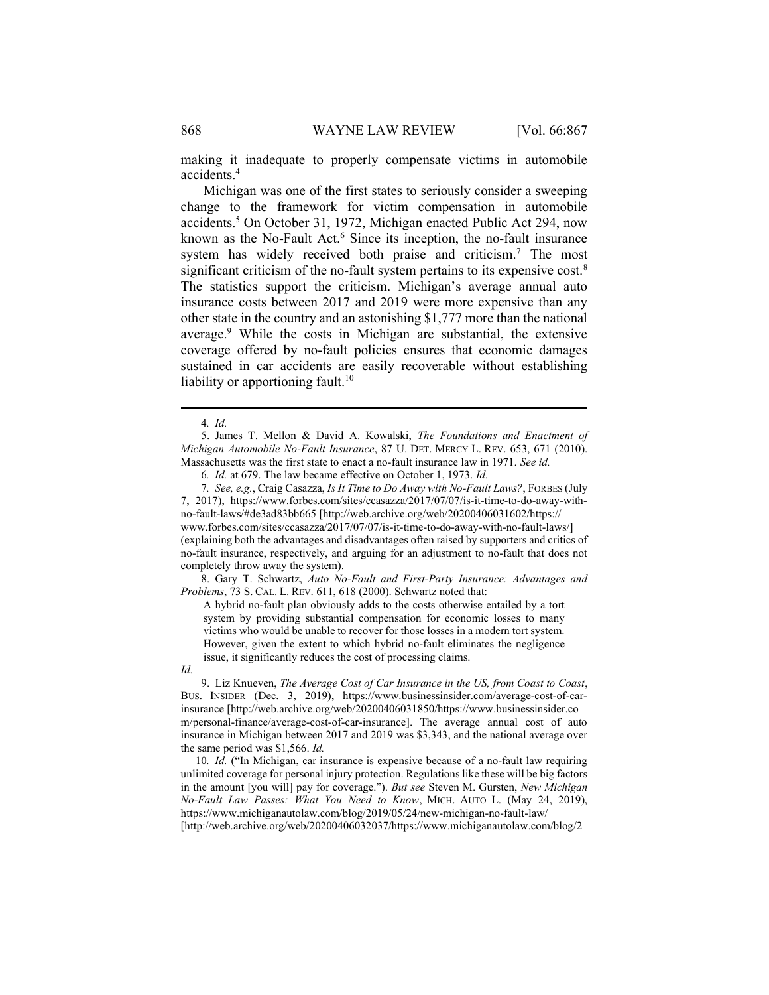making it inadequate to properly compensate victims in automobile accidents.<sup>4</sup>

Michigan was one of the first states to seriously consider a sweeping change to the framework for victim compensation in automobile accidents.<sup>5</sup> On October 31, 1972, Michigan enacted Public Act 294, now known as the No-Fault Act.<sup>6</sup> Since its inception, the no-fault insurance system has widely received both praise and criticism.<sup>7</sup> The most significant criticism of the no-fault system pertains to its expensive cost.<sup>8</sup> The statistics support the criticism. Michigan's average annual auto insurance costs between 2017 and 2019 were more expensive than any other state in the country and an astonishing \$1,777 more than the national average.<sup>9</sup> While the costs in Michigan are substantial, the extensive coverage offered by no-fault policies ensures that economic damages sustained in car accidents are easily recoverable without establishing liability or apportioning fault.<sup>10</sup>

7, 2017), https://www.forbes.com/sites/ccasazza/2017/07/07/is-it-time-to-do-away-withno-fault-laws/#de3ad83bb665 [http://web.archive.org/web/20200406031602/https:// www.forbes.com/sites/ccasazza/2017/07/07/is-it-time-to-do-away-with-no-fault-laws/] (explaining both the advantages and disadvantages often raised by supporters and critics of no-fault insurance, respectively, and arguing for an adjustment to no-fault that does not completely throw away the system).

 8. Gary T. Schwartz, Auto No-Fault and First-Party Insurance: Advantages and Problems, 73 S. CAL. L. REV. 611, 618 (2000). Schwartz noted that:

A hybrid no-fault plan obviously adds to the costs otherwise entailed by a tort system by providing substantial compensation for economic losses to many victims who would be unable to recover for those losses in a modern tort system. However, given the extent to which hybrid no-fault eliminates the negligence issue, it significantly reduces the cost of processing claims.

Id.

9. Liz Knueven, The Average Cost of Car Insurance in the US, from Coast to Coast, BUS. INSIDER (Dec. 3, 2019), https://www.businessinsider.com/average-cost-of-carinsurance [http://web.archive.org/web/20200406031850/https://www.businessinsider.co m/personal-finance/average-cost-of-car-insurance]. The average annual cost of auto insurance in Michigan between 2017 and 2019 was \$3,343, and the national average over the same period was \$1,566. Id.

10. Id. ("In Michigan, car insurance is expensive because of a no-fault law requiring unlimited coverage for personal injury protection. Regulations like these will be big factors in the amount [you will] pay for coverage."). But see Steven M. Gursten, New Michigan No-Fault Law Passes: What You Need to Know, MICH. AUTO L. (May 24, 2019), https://www.michiganautolaw.com/blog/2019/05/24/new-michigan-no-fault-law/ [http://web.archive.org/web/20200406032037/https://www.michiganautolaw.com/blog/2

<sup>4</sup>. Id.

 <sup>5.</sup> James T. Mellon & David A. Kowalski, The Foundations and Enactment of Michigan Automobile No-Fault Insurance, 87 U. DET. MERCY L. REV. 653, 671 (2010). Massachusetts was the first state to enact a no-fault insurance law in 1971. See id.

<sup>6</sup>. Id. at 679. The law became effective on October 1, 1973. Id.

<sup>7</sup>. See, e.g., Craig Casazza, Is It Time to Do Away with No-Fault Laws?, FORBES (July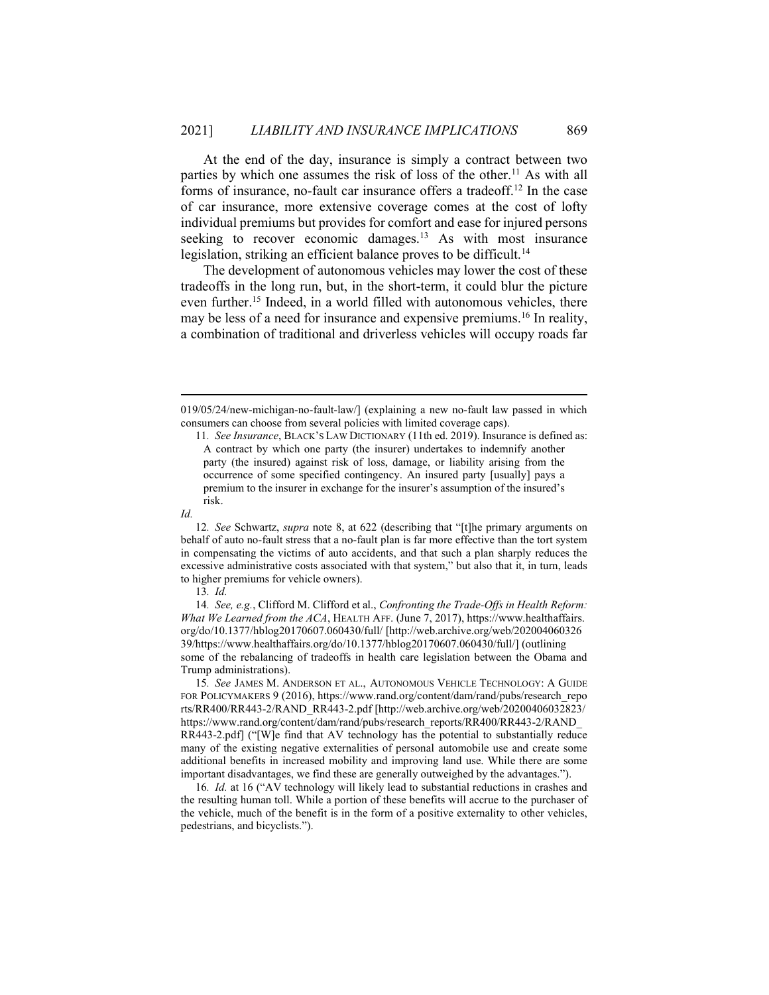At the end of the day, insurance is simply a contract between two parties by which one assumes the risk of loss of the other.<sup>11</sup> As with all forms of insurance, no-fault car insurance offers a tradeoff.<sup>12</sup> In the case of car insurance, more extensive coverage comes at the cost of lofty individual premiums but provides for comfort and ease for injured persons seeking to recover economic damages.<sup>13</sup> As with most insurance legislation, striking an efficient balance proves to be difficult.<sup>14</sup>

The development of autonomous vehicles may lower the cost of these tradeoffs in the long run, but, in the short-term, it could blur the picture even further.<sup>15</sup> Indeed, in a world filled with autonomous vehicles, there may be less of a need for insurance and expensive premiums.<sup>16</sup> In reality, a combination of traditional and driverless vehicles will occupy roads far

12. See Schwartz, supra note 8, at 622 (describing that "[t]he primary arguments on behalf of auto no-fault stress that a no-fault plan is far more effective than the tort system in compensating the victims of auto accidents, and that such a plan sharply reduces the excessive administrative costs associated with that system," but also that it, in turn, leads to higher premiums for vehicle owners).

14. See, e.g., Clifford M. Clifford et al., Confronting the Trade-Offs in Health Reform: What We Learned from the ACA, HEALTH AFF. (June 7, 2017), https://www.healthaffairs. org/do/10.1377/hblog20170607.060430/full/ [http://web.archive.org/web/202004060326 39/https://www.healthaffairs.org/do/10.1377/hblog20170607.060430/full/] (outlining some of the rebalancing of tradeoffs in health care legislation between the Obama and Trump administrations).

15. See JAMES M. ANDERSON ET AL., AUTONOMOUS VEHICLE TECHNOLOGY: A GUIDE FOR POLICYMAKERS 9 (2016), https://www.rand.org/content/dam/rand/pubs/research\_repo rts/RR400/RR443-2/RAND\_RR443-2.pdf [http://web.archive.org/web/20200406032823/ https://www.rand.org/content/dam/rand/pubs/research\_reports/RR400/RR443-2/RAND\_ RR443-2.pdf] ("[W]e find that AV technology has the potential to substantially reduce many of the existing negative externalities of personal automobile use and create some additional benefits in increased mobility and improving land use. While there are some important disadvantages, we find these are generally outweighed by the advantages.").

16. Id. at 16 ("AV technology will likely lead to substantial reductions in crashes and the resulting human toll. While a portion of these benefits will accrue to the purchaser of the vehicle, much of the benefit is in the form of a positive externality to other vehicles, pedestrians, and bicyclists.").

<sup>019/05/24/</sup>new-michigan-no-fault-law/] (explaining a new no-fault law passed in which consumers can choose from several policies with limited coverage caps).

<sup>11</sup>. See Insurance, BLACK'S LAW DICTIONARY (11th ed. 2019). Insurance is defined as: A contract by which one party (the insurer) undertakes to indemnify another party (the insured) against risk of loss, damage, or liability arising from the occurrence of some specified contingency. An insured party [usually] pays a premium to the insurer in exchange for the insurer's assumption of the insured's risk.

Id.

<sup>13</sup>. Id.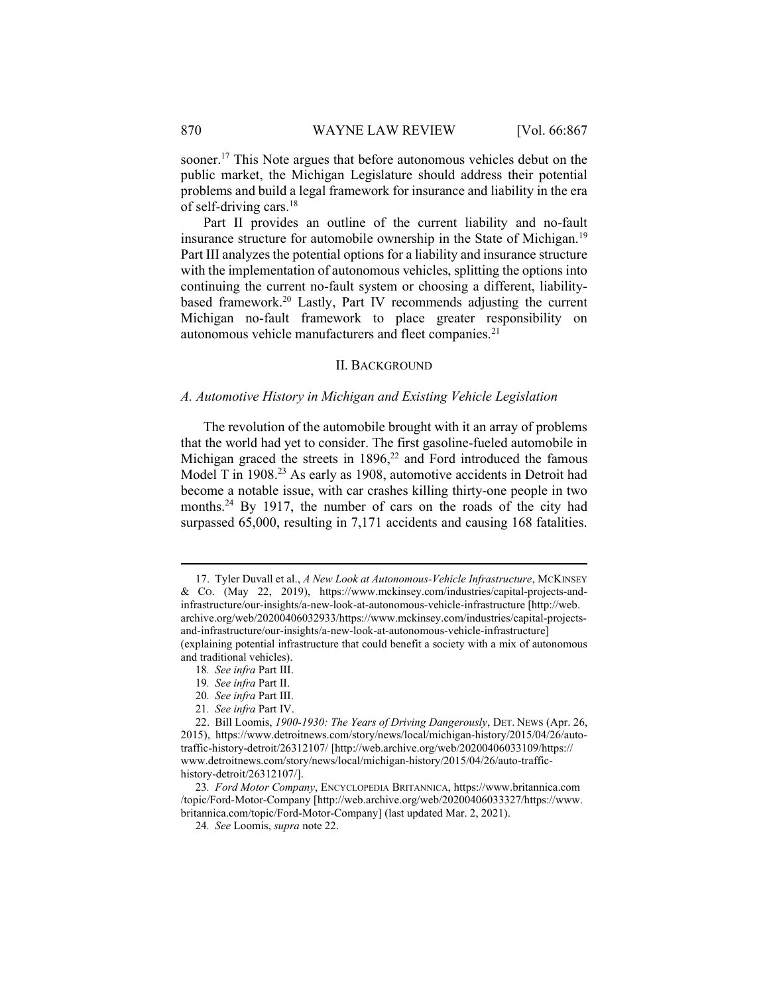sooner.<sup>17</sup> This Note argues that before autonomous vehicles debut on the public market, the Michigan Legislature should address their potential problems and build a legal framework for insurance and liability in the era of self-driving cars. $18$ 

Part II provides an outline of the current liability and no-fault insurance structure for automobile ownership in the State of Michigan.<sup>19</sup> Part III analyzes the potential options for a liability and insurance structure with the implementation of autonomous vehicles, splitting the options into continuing the current no-fault system or choosing a different, liabilitybased framework.<sup>20</sup> Lastly, Part IV recommends adjusting the current Michigan no-fault framework to place greater responsibility on autonomous vehicle manufacturers and fleet companies.<sup>21</sup>

### II. BACKGROUND

#### A. Automotive History in Michigan and Existing Vehicle Legislation

The revolution of the automobile brought with it an array of problems that the world had yet to consider. The first gasoline-fueled automobile in Michigan graced the streets in  $1896$ ,<sup>22</sup> and Ford introduced the famous Model T in 1908.<sup>23</sup> As early as 1908, automotive accidents in Detroit had become a notable issue, with car crashes killing thirty-one people in two months.<sup>24</sup> By 1917, the number of cars on the roads of the city had surpassed 65,000, resulting in 7,171 accidents and causing 168 fatalities.

- 18. See infra Part III.
- 19. See infra Part II.
- 20. See infra Part III.
- 21. See infra Part IV.

<sup>17.</sup> Tyler Duvall et al., A New Look at Autonomous-Vehicle Infrastructure, MCKINSEY & CO. (May 22, 2019), https://www.mckinsey.com/industries/capital-projects-andinfrastructure/our-insights/a-new-look-at-autonomous-vehicle-infrastructure [http://web. archive.org/web/20200406032933/https://www.mckinsey.com/industries/capital-projectsand-infrastructure/our-insights/a-new-look-at-autonomous-vehicle-infrastructure] (explaining potential infrastructure that could benefit a society with a mix of autonomous and traditional vehicles).

 <sup>22.</sup> Bill Loomis, 1900-1930: The Years of Driving Dangerously, DET. NEWS (Apr. 26, 2015), https://www.detroitnews.com/story/news/local/michigan-history/2015/04/26/autotraffic-history-detroit/26312107/ [http://web.archive.org/web/20200406033109/https:// www.detroitnews.com/story/news/local/michigan-history/2015/04/26/auto-traffichistory-detroit/26312107/].

<sup>23</sup>. Ford Motor Company, ENCYCLOPEDIA BRITANNICA, https://www.britannica.com /topic/Ford-Motor-Company [http://web.archive.org/web/20200406033327/https://www. britannica.com/topic/Ford-Motor-Company] (last updated Mar. 2, 2021).

<sup>24</sup>. See Loomis, supra note 22.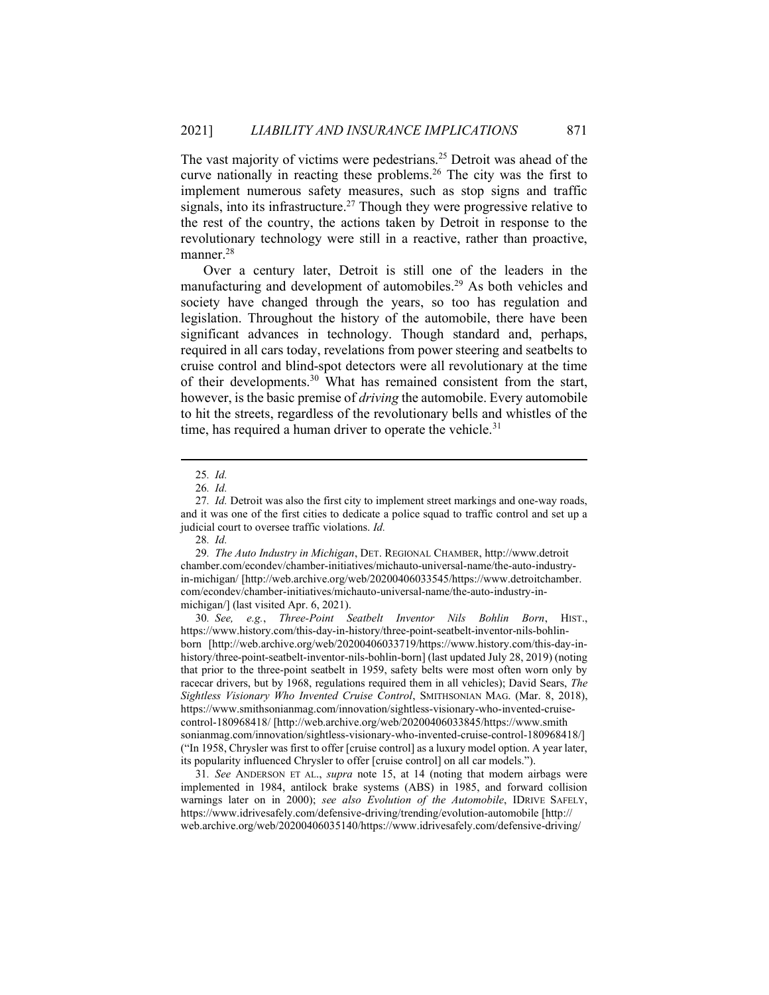The vast majority of victims were pedestrians.<sup>25</sup> Detroit was ahead of the curve nationally in reacting these problems.<sup>26</sup> The city was the first to implement numerous safety measures, such as stop signs and traffic signals, into its infrastructure.<sup>27</sup> Though they were progressive relative to the rest of the country, the actions taken by Detroit in response to the revolutionary technology were still in a reactive, rather than proactive, manner.<sup>28</sup>

Over a century later, Detroit is still one of the leaders in the manufacturing and development of automobiles.<sup>29</sup> As both vehicles and society have changed through the years, so too has regulation and legislation. Throughout the history of the automobile, there have been significant advances in technology. Though standard and, perhaps, required in all cars today, revelations from power steering and seatbelts to cruise control and blind-spot detectors were all revolutionary at the time of their developments.<sup>30</sup> What has remained consistent from the start, however, is the basic premise of *driving* the automobile. Every automobile to hit the streets, regardless of the revolutionary bells and whistles of the time, has required a human driver to operate the vehicle. $31$ 

30. See, e.g., Three-Point Seatbelt Inventor Nils Bohlin Born, HIST., https://www.history.com/this-day-in-history/three-point-seatbelt-inventor-nils-bohlinborn [http://web.archive.org/web/20200406033719/https://www.history.com/this-day-inhistory/three-point-seatbelt-inventor-nils-bohlin-born] (last updated July 28, 2019) (noting that prior to the three-point seatbelt in 1959, safety belts were most often worn only by racecar drivers, but by 1968, regulations required them in all vehicles); David Sears, The Sightless Visionary Who Invented Cruise Control, SMITHSONIAN MAG. (Mar. 8, 2018), https://www.smithsonianmag.com/innovation/sightless-visionary-who-invented-cruisecontrol-180968418/ [http://web.archive.org/web/20200406033845/https://www.smith sonianmag.com/innovation/sightless-visionary-who-invented-cruise-control-180968418/] ("In 1958, Chrysler was first to offer [cruise control] as a luxury model option. A year later, its popularity influenced Chrysler to offer [cruise control] on all car models.").

31. See ANDERSON ET AL., supra note 15, at 14 (noting that modern airbags were implemented in 1984, antilock brake systems (ABS) in 1985, and forward collision warnings later on in 2000); see also Evolution of the Automobile, IDRIVE SAFELY, https://www.idrivesafely.com/defensive-driving/trending/evolution-automobile [http:// web.archive.org/web/20200406035140/https://www.idrivesafely.com/defensive-driving/

<sup>25</sup>. Id.

<sup>26</sup>. Id.

<sup>27</sup>. Id. Detroit was also the first city to implement street markings and one-way roads, and it was one of the first cities to dedicate a police squad to traffic control and set up a judicial court to oversee traffic violations. Id.

<sup>28</sup>. Id.

<sup>29</sup>. The Auto Industry in Michigan, DET. REGIONAL CHAMBER, http://www.detroit chamber.com/econdev/chamber-initiatives/michauto-universal-name/the-auto-industryin-michigan/ [http://web.archive.org/web/20200406033545/https://www.detroitchamber. com/econdev/chamber-initiatives/michauto-universal-name/the-auto-industry-inmichigan/] (last visited Apr. 6, 2021).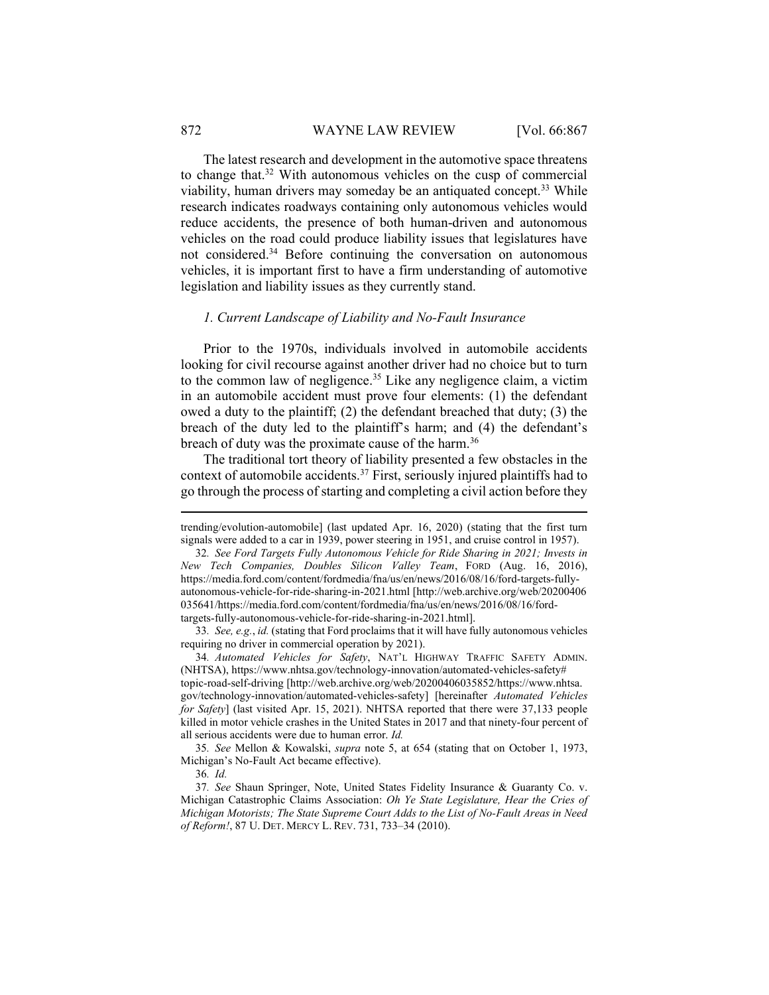#### 872 WAYNE LAW REVIEW [Vol. 66:867]

The latest research and development in the automotive space threatens to change that.<sup>32</sup> With autonomous vehicles on the cusp of commercial viability, human drivers may someday be an antiquated concept.<sup>33</sup> While research indicates roadways containing only autonomous vehicles would reduce accidents, the presence of both human-driven and autonomous vehicles on the road could produce liability issues that legislatures have not considered.<sup>34</sup> Before continuing the conversation on autonomous vehicles, it is important first to have a firm understanding of automotive legislation and liability issues as they currently stand.

#### 1. Current Landscape of Liability and No-Fault Insurance

Prior to the 1970s, individuals involved in automobile accidents looking for civil recourse against another driver had no choice but to turn to the common law of negligence.<sup>35</sup> Like any negligence claim, a victim in an automobile accident must prove four elements: (1) the defendant owed a duty to the plaintiff; (2) the defendant breached that duty; (3) the breach of the duty led to the plaintiff's harm; and (4) the defendant's breach of duty was the proximate cause of the harm.<sup>36</sup>

The traditional tort theory of liability presented a few obstacles in the context of automobile accidents.<sup>37</sup> First, seriously injured plaintiffs had to go through the process of starting and completing a civil action before they

33. See, e.g., id. (stating that Ford proclaims that it will have fully autonomous vehicles requiring no driver in commercial operation by 2021).

34. Automated Vehicles for Safety, NAT'L HIGHWAY TRAFFIC SAFETY ADMIN. (NHTSA), https://www.nhtsa.gov/technology-innovation/automated-vehicles-safety# topic-road-self-driving [http://web.archive.org/web/20200406035852/https://www.nhtsa. gov/technology-innovation/automated-vehicles-safety] [hereinafter Automated Vehicles for Safety] (last visited Apr. 15, 2021). NHTSA reported that there were 37,133 people killed in motor vehicle crashes in the United States in 2017 and that ninety-four percent of all serious accidents were due to human error. Id.

35. See Mellon & Kowalski, supra note 5, at 654 (stating that on October 1, 1973, Michigan's No-Fault Act became effective).

36. Id.

37. See Shaun Springer, Note, United States Fidelity Insurance & Guaranty Co. v. Michigan Catastrophic Claims Association: Oh Ye State Legislature, Hear the Cries of Michigan Motorists; The State Supreme Court Adds to the List of No-Fault Areas in Need of Reform!, 87 U. DET. MERCY L. REV. 731, 733–34 (2010).

trending/evolution-automobile] (last updated Apr. 16, 2020) (stating that the first turn signals were added to a car in 1939, power steering in 1951, and cruise control in 1957).

<sup>32</sup>. See Ford Targets Fully Autonomous Vehicle for Ride Sharing in 2021; Invests in New Tech Companies, Doubles Silicon Valley Team, FORD (Aug. 16, 2016), https://media.ford.com/content/fordmedia/fna/us/en/news/2016/08/16/ford-targets-fullyautonomous-vehicle-for-ride-sharing-in-2021.html [http://web.archive.org/web/20200406 035641/https://media.ford.com/content/fordmedia/fna/us/en/news/2016/08/16/fordtargets-fully-autonomous-vehicle-for-ride-sharing-in-2021.html].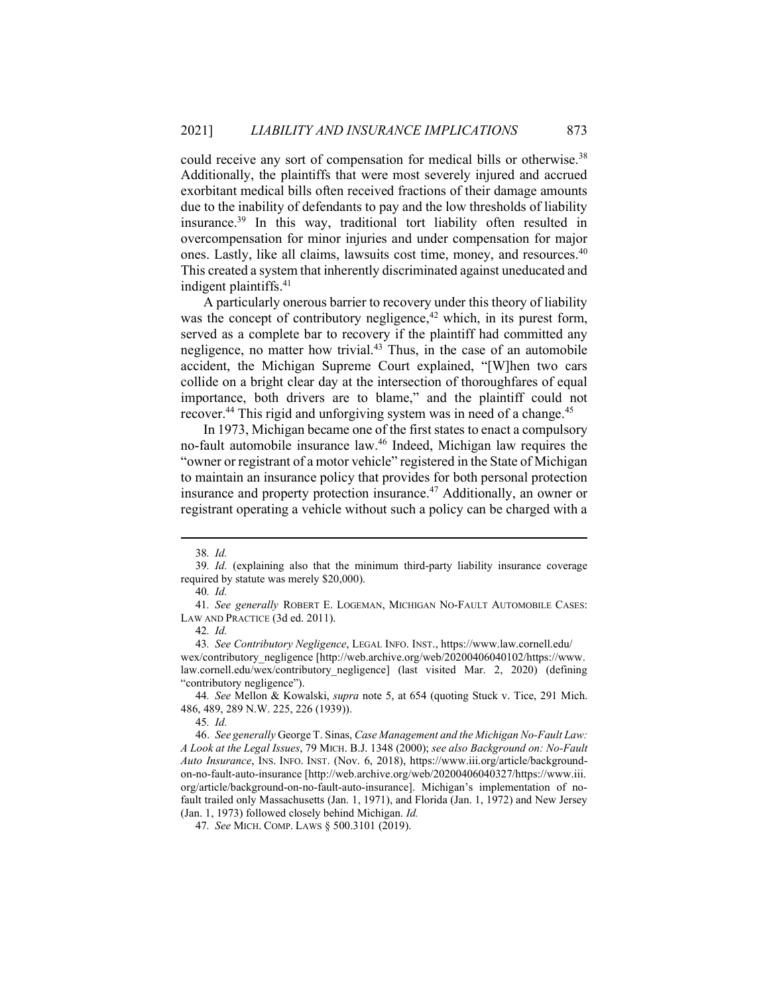could receive any sort of compensation for medical bills or otherwise.<sup>38</sup> Additionally, the plaintiffs that were most severely injured and accrued exorbitant medical bills often received fractions of their damage amounts due to the inability of defendants to pay and the low thresholds of liability insurance.<sup>39</sup> In this way, traditional tort liability often resulted in overcompensation for minor injuries and under compensation for major ones. Lastly, like all claims, lawsuits cost time, money, and resources.<sup>40</sup> This created a system that inherently discriminated against uneducated and indigent plaintiffs.<sup>41</sup>

A particularly onerous barrier to recovery under this theory of liability was the concept of contributory negligence,<sup>42</sup> which, in its purest form, served as a complete bar to recovery if the plaintiff had committed any negligence, no matter how trivial.<sup>43</sup> Thus, in the case of an automobile accident, the Michigan Supreme Court explained, "[W]hen two cars collide on a bright clear day at the intersection of thoroughfares of equal importance, both drivers are to blame," and the plaintiff could not recover.<sup>44</sup> This rigid and unforgiving system was in need of a change.<sup>45</sup>

In 1973, Michigan became one of the first states to enact a compulsory no-fault automobile insurance law.<sup>46</sup> Indeed, Michigan law requires the "owner or registrant of a motor vehicle" registered in the State of Michigan to maintain an insurance policy that provides for both personal protection insurance and property protection insurance.<sup>47</sup> Additionally, an owner or registrant operating a vehicle without such a policy can be charged with a

44. See Mellon & Kowalski, supra note 5, at 654 (quoting Stuck v. Tice, 291 Mich. 486, 489, 289 N.W. 225, 226 (1939)).

<sup>38</sup>. Id.

<sup>39</sup>. Id. (explaining also that the minimum third-party liability insurance coverage required by statute was merely \$20,000).

<sup>40</sup>. Id.

<sup>41.</sup> See generally ROBERT E. LOGEMAN, MICHIGAN NO-FAULT AUTOMOBILE CASES: LAW AND PRACTICE (3d ed. 2011).

<sup>42</sup>. Id.

<sup>43</sup>. See Contributory Negligence, LEGAL INFO. INST., https://www.law.cornell.edu/ wex/contributory\_negligence [http://web.archive.org/web/20200406040102/https://www. law.cornell.edu/wex/contributory\_negligence] (last visited Mar. 2, 2020) (defining "contributory negligence").

<sup>45</sup>. Id.

 <sup>46.</sup> See generally George T. Sinas, Case Management and the Michigan No-Fault Law: A Look at the Legal Issues, 79 MICH. B.J. 1348 (2000); see also Background on: No-Fault Auto Insurance, INS. INFO. INST. (Nov. 6, 2018), https://www.iii.org/article/backgroundon-no-fault-auto-insurance [http://web.archive.org/web/20200406040327/https://www.iii. org/article/background-on-no-fault-auto-insurance]. Michigan's implementation of nofault trailed only Massachusetts (Jan. 1, 1971), and Florida (Jan. 1, 1972) and New Jersey (Jan. 1, 1973) followed closely behind Michigan. Id.

<sup>47</sup>. See MICH. COMP. LAWS § 500.3101 (2019).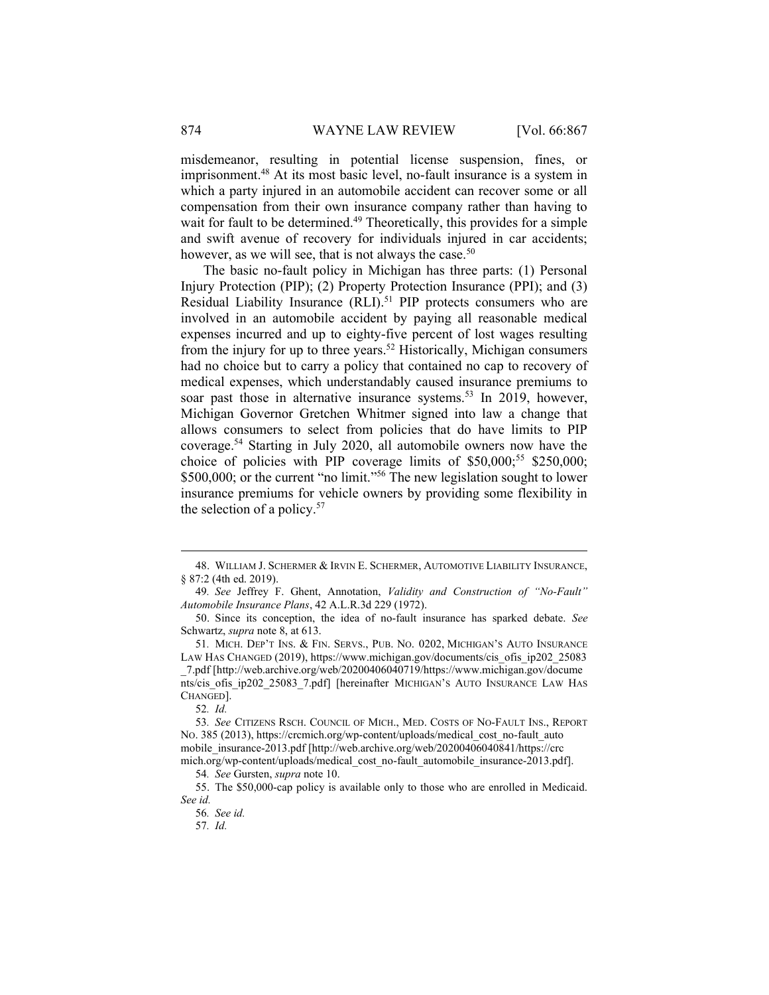misdemeanor, resulting in potential license suspension, fines, or imprisonment.<sup>48</sup> At its most basic level, no-fault insurance is a system in which a party injured in an automobile accident can recover some or all compensation from their own insurance company rather than having to wait for fault to be determined.<sup>49</sup> Theoretically, this provides for a simple and swift avenue of recovery for individuals injured in car accidents; however, as we will see, that is not always the case.<sup>50</sup>

The basic no-fault policy in Michigan has three parts: (1) Personal Injury Protection (PIP); (2) Property Protection Insurance (PPI); and (3) Residual Liability Insurance (RLI).<sup>51</sup> PIP protects consumers who are involved in an automobile accident by paying all reasonable medical expenses incurred and up to eighty-five percent of lost wages resulting from the injury for up to three years.<sup>52</sup> Historically, Michigan consumers had no choice but to carry a policy that contained no cap to recovery of medical expenses, which understandably caused insurance premiums to soar past those in alternative insurance systems.<sup>53</sup> In 2019, however, Michigan Governor Gretchen Whitmer signed into law a change that allows consumers to select from policies that do have limits to PIP coverage.<sup>54</sup> Starting in July 2020, all automobile owners now have the choice of policies with PIP coverage limits of  $$50,000;$ <sup>55</sup> \$250,000; \$500,000; or the current "no limit."<sup>56</sup> The new legislation sought to lower insurance premiums for vehicle owners by providing some flexibility in the selection of a policy. $57$ 

 <sup>48.</sup> WILLIAM J. SCHERMER & IRVIN E. SCHERMER, AUTOMOTIVE LIABILITY INSURANCE, § 87:2 (4th ed. 2019).

<sup>49</sup>. See Jeffrey F. Ghent, Annotation, Validity and Construction of "No-Fault" Automobile Insurance Plans, 42 A.L.R.3d 229 (1972).

 <sup>50.</sup> Since its conception, the idea of no-fault insurance has sparked debate. See Schwartz, supra note 8, at 613.

<sup>51</sup>. MICH. DEP'T INS. & FIN. SERVS., PUB. NO. 0202, MICHIGAN'S AUTO INSURANCE LAW HAS CHANGED (2019), https://www.michigan.gov/documents/cis\_ofis\_ip202\_25083 \_7.pdf [http://web.archive.org/web/20200406040719/https://www.michigan.gov/docume nts/cis ofis ip202\_25083\_7.pdf] [hereinafter MICHIGAN's AUTO INSURANCE LAW HAS CHANGED].

<sup>52</sup>. Id.

<sup>53</sup>. See CITIZENS RSCH. COUNCIL OF MICH., MED. COSTS OF NO-FAULT INS., REPORT NO. 385 (2013), https://crcmich.org/wp-content/uploads/medical\_cost\_no-fault\_auto mobile\_insurance-2013.pdf [http://web.archive.org/web/20200406040841/https://crc mich.org/wp-content/uploads/medical\_cost\_no-fault\_automobile\_insurance-2013.pdf].

<sup>54</sup>. See Gursten, supra note 10.

 <sup>55.</sup> The \$50,000-cap policy is available only to those who are enrolled in Medicaid. See id.

<sup>56</sup>. See id.

<sup>57</sup>. Id.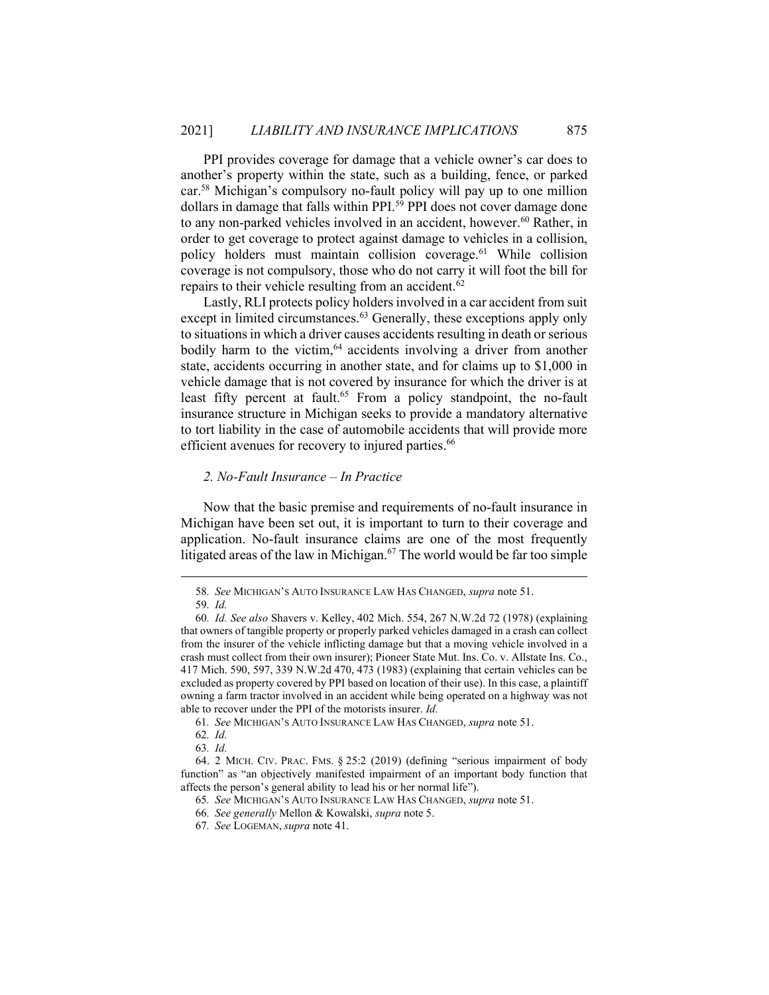PPI provides coverage for damage that a vehicle owner's car does to another's property within the state, such as a building, fence, or parked car.<sup>58</sup> Michigan's compulsory no-fault policy will pay up to one million dollars in damage that falls within PPI.<sup>59</sup> PPI does not cover damage done to any non-parked vehicles involved in an accident, however.<sup>60</sup> Rather, in order to get coverage to protect against damage to vehicles in a collision, policy holders must maintain collision coverage.<sup>61</sup> While collision coverage is not compulsory, those who do not carry it will foot the bill for repairs to their vehicle resulting from an accident.<sup>62</sup>

Lastly, RLI protects policy holders involved in a car accident from suit except in limited circumstances.<sup>63</sup> Generally, these exceptions apply only to situations in which a driver causes accidents resulting in death or serious bodily harm to the victim, $64$  accidents involving a driver from another state, accidents occurring in another state, and for claims up to \$1,000 in vehicle damage that is not covered by insurance for which the driver is at least fifty percent at fault.<sup>65</sup> From a policy standpoint, the no-fault insurance structure in Michigan seeks to provide a mandatory alternative to tort liability in the case of automobile accidents that will provide more efficient avenues for recovery to injured parties.<sup>66</sup>

# 2. No-Fault Insurance – In Practice

Now that the basic premise and requirements of no-fault insurance in Michigan have been set out, it is important to turn to their coverage and application. No-fault insurance claims are one of the most frequently litigated areas of the law in Michigan.<sup>67</sup> The world would be far too simple

<sup>58</sup>. See MICHIGAN'S AUTO INSURANCE LAW HAS CHANGED, supra note 51.

<sup>59</sup>. Id.

<sup>60</sup>. Id. See also Shavers v. Kelley, 402 Mich. 554, 267 N.W.2d 72 (1978) (explaining that owners of tangible property or properly parked vehicles damaged in a crash can collect from the insurer of the vehicle inflicting damage but that a moving vehicle involved in a crash must collect from their own insurer); Pioneer State Mut. Ins. Co. v. Allstate Ins. Co., 417 Mich. 590, 597, 339 N.W.2d 470, 473 (1983) (explaining that certain vehicles can be excluded as property covered by PPI based on location of their use). In this case, a plaintiff owning a farm tractor involved in an accident while being operated on a highway was not able to recover under the PPI of the motorists insurer. Id.

<sup>61</sup>. See MICHIGAN'S AUTO INSURANCE LAW HAS CHANGED, supra note 51.

<sup>62</sup>. Id.

<sup>63</sup>. Id.

 <sup>64. 2</sup> MICH. CIV. PRAC. FMS. § 25:2 (2019) (defining "serious impairment of body function" as "an objectively manifested impairment of an important body function that affects the person's general ability to lead his or her normal life").

<sup>65</sup>. See MICHIGAN'S AUTO INSURANCE LAW HAS CHANGED, supra note 51.

<sup>66</sup>. See generally Mellon & Kowalski, supra note 5.

<sup>67</sup>. See LOGEMAN, supra note 41.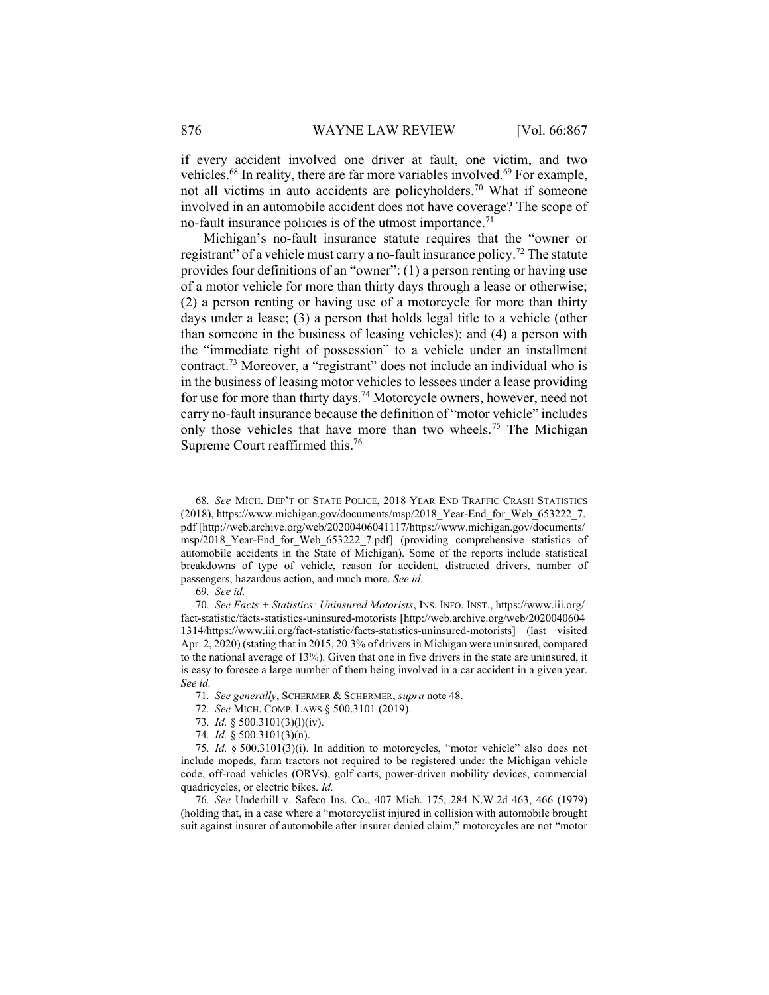if every accident involved one driver at fault, one victim, and two vehicles.<sup>68</sup> In reality, there are far more variables involved.<sup>69</sup> For example, not all victims in auto accidents are policyholders.<sup>70</sup> What if someone involved in an automobile accident does not have coverage? The scope of no-fault insurance policies is of the utmost importance.<sup>71</sup>

Michigan's no-fault insurance statute requires that the "owner or registrant" of a vehicle must carry a no-fault insurance policy.<sup>72</sup> The statute provides four definitions of an "owner": (1) a person renting or having use of a motor vehicle for more than thirty days through a lease or otherwise; (2) a person renting or having use of a motorcycle for more than thirty days under a lease; (3) a person that holds legal title to a vehicle (other than someone in the business of leasing vehicles); and (4) a person with the "immediate right of possession" to a vehicle under an installment contract.<sup>73</sup> Moreover, a "registrant" does not include an individual who is in the business of leasing motor vehicles to lessees under a lease providing for use for more than thirty days.<sup>74</sup> Motorcycle owners, however, need not carry no-fault insurance because the definition of "motor vehicle" includes only those vehicles that have more than two wheels.<sup>75</sup> The Michigan Supreme Court reaffirmed this.<sup>76</sup>

72. See MICH. COMP. LAWS § 500.3101 (2019).

<sup>68</sup>. See MICH. DEP'T OF STATE POLICE, 2018 YEAR END TRAFFIC CRASH STATISTICS (2018), https://www.michigan.gov/documents/msp/2018\_Year-End\_for\_Web\_653222\_7. pdf [http://web.archive.org/web/20200406041117/https://www.michigan.gov/documents/ msp/2018 Year-End for Web 653222 7.pdf] (providing comprehensive statistics of automobile accidents in the State of Michigan). Some of the reports include statistical breakdowns of type of vehicle, reason for accident, distracted drivers, number of passengers, hazardous action, and much more. See id.

<sup>69</sup>. See id.

<sup>70</sup>. See Facts + Statistics: Uninsured Motorists, INS. INFO. INST., https://www.iii.org/ fact-statistic/facts-statistics-uninsured-motorists [http://web.archive.org/web/2020040604 1314/https://www.iii.org/fact-statistic/facts-statistics-uninsured-motorists] (last visited Apr. 2, 2020) (stating that in 2015, 20.3% of drivers in Michigan were uninsured, compared to the national average of 13%). Given that one in five drivers in the state are uninsured, it is easy to foresee a large number of them being involved in a car accident in a given year. See id.

<sup>71.</sup> See generally, SCHERMER & SCHERMER, supra note 48.

<sup>73</sup>. Id. § 500.3101(3)(l)(iv).

<sup>74</sup>. Id. § 500.3101(3)(n).

<sup>75</sup>. Id. § 500.3101(3)(i). In addition to motorcycles, "motor vehicle" also does not include mopeds, farm tractors not required to be registered under the Michigan vehicle code, off-road vehicles (ORVs), golf carts, power-driven mobility devices, commercial quadricycles, or electric bikes. Id.

<sup>76</sup>. See Underhill v. Safeco Ins. Co., 407 Mich. 175, 284 N.W.2d 463, 466 (1979) (holding that, in a case where a "motorcyclist injured in collision with automobile brought suit against insurer of automobile after insurer denied claim," motorcycles are not "motor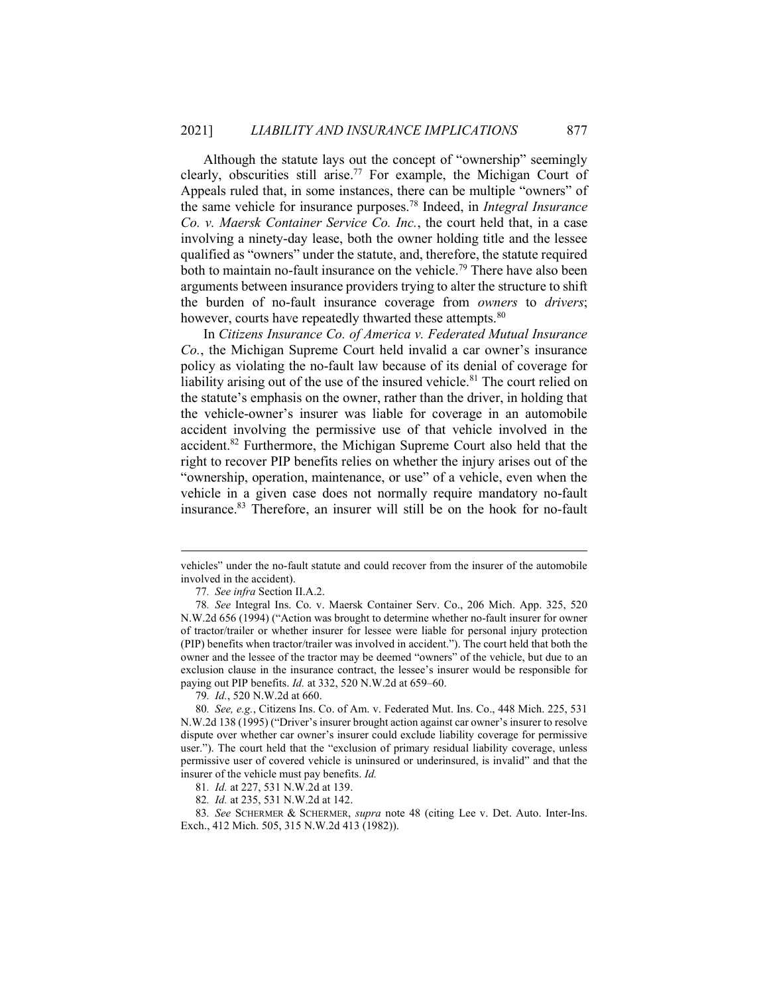Although the statute lays out the concept of "ownership" seemingly clearly, obscurities still arise.<sup>77</sup> For example, the Michigan Court of Appeals ruled that, in some instances, there can be multiple "owners" of the same vehicle for insurance purposes.<sup>78</sup> Indeed, in *Integral Insurance* Co. v. Maersk Container Service Co. Inc., the court held that, in a case involving a ninety-day lease, both the owner holding title and the lessee qualified as "owners" under the statute, and, therefore, the statute required both to maintain no-fault insurance on the vehicle.<sup>79</sup> There have also been arguments between insurance providers trying to alter the structure to shift the burden of no-fault insurance coverage from *owners* to *drivers*; however, courts have repeatedly thwarted these attempts.<sup>80</sup>

In Citizens Insurance Co. of America v. Federated Mutual Insurance Co., the Michigan Supreme Court held invalid a car owner's insurance policy as violating the no-fault law because of its denial of coverage for liability arising out of the use of the insured vehicle.<sup>81</sup> The court relied on the statute's emphasis on the owner, rather than the driver, in holding that the vehicle-owner's insurer was liable for coverage in an automobile accident involving the permissive use of that vehicle involved in the accident.<sup>82</sup> Furthermore, the Michigan Supreme Court also held that the right to recover PIP benefits relies on whether the injury arises out of the "ownership, operation, maintenance, or use" of a vehicle, even when the vehicle in a given case does not normally require mandatory no-fault insurance.<sup>83</sup> Therefore, an insurer will still be on the hook for no-fault

83. See SCHERMER & SCHERMER, supra note 48 (citing Lee v. Det. Auto. Inter-Ins. Exch., 412 Mich. 505, 315 N.W.2d 413 (1982)).

vehicles" under the no-fault statute and could recover from the insurer of the automobile involved in the accident).

<sup>77</sup>. See infra Section II.A.2.

<sup>78</sup>. See Integral Ins. Co. v. Maersk Container Serv. Co., 206 Mich. App. 325, 520 N.W.2d 656 (1994) ("Action was brought to determine whether no-fault insurer for owner of tractor/trailer or whether insurer for lessee were liable for personal injury protection (PIP) benefits when tractor/trailer was involved in accident."). The court held that both the owner and the lessee of the tractor may be deemed "owners" of the vehicle, but due to an exclusion clause in the insurance contract, the lessee's insurer would be responsible for paying out PIP benefits. Id. at 332, 520 N.W.2d at 659–60.

<sup>79</sup>. Id., 520 N.W.2d at 660.

<sup>80</sup>. See, e.g., Citizens Ins. Co. of Am. v. Federated Mut. Ins. Co., 448 Mich. 225, 531 N.W.2d 138 (1995) ("Driver's insurer brought action against car owner's insurer to resolve dispute over whether car owner's insurer could exclude liability coverage for permissive user."). The court held that the "exclusion of primary residual liability coverage, unless permissive user of covered vehicle is uninsured or underinsured, is invalid" and that the insurer of the vehicle must pay benefits. Id.

<sup>81</sup>. Id. at 227, 531 N.W.2d at 139.

<sup>82</sup>. Id. at 235, 531 N.W.2d at 142.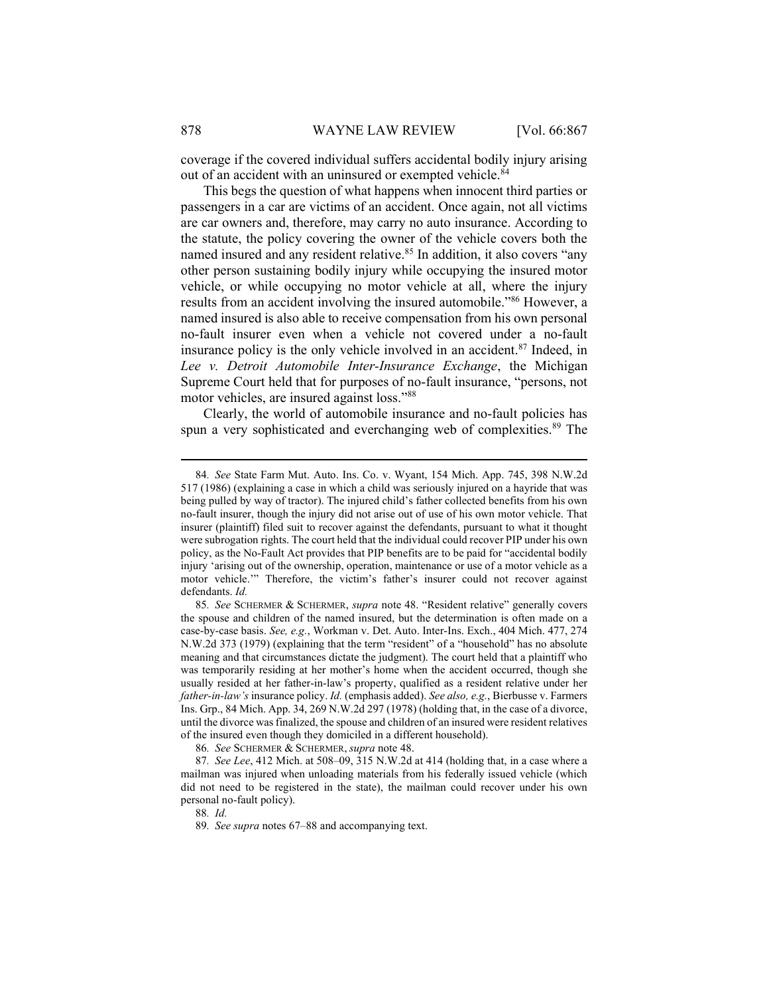coverage if the covered individual suffers accidental bodily injury arising out of an accident with an uninsured or exempted vehicle.<sup>84</sup>

This begs the question of what happens when innocent third parties or passengers in a car are victims of an accident. Once again, not all victims are car owners and, therefore, may carry no auto insurance. According to the statute, the policy covering the owner of the vehicle covers both the named insured and any resident relative.<sup>85</sup> In addition, it also covers "any other person sustaining bodily injury while occupying the insured motor vehicle, or while occupying no motor vehicle at all, where the injury results from an accident involving the insured automobile."<sup>86</sup> However, a named insured is also able to receive compensation from his own personal no-fault insurer even when a vehicle not covered under a no-fault insurance policy is the only vehicle involved in an accident. $87$  Indeed, in Lee v. Detroit Automobile Inter-Insurance Exchange, the Michigan Supreme Court held that for purposes of no-fault insurance, "persons, not motor vehicles, are insured against loss."<sup>88</sup>

Clearly, the world of automobile insurance and no-fault policies has spun a very sophisticated and everchanging web of complexities.<sup>89</sup> The

<sup>84</sup>. See State Farm Mut. Auto. Ins. Co. v. Wyant, 154 Mich. App. 745, 398 N.W.2d 517 (1986) (explaining a case in which a child was seriously injured on a hayride that was being pulled by way of tractor). The injured child's father collected benefits from his own no-fault insurer, though the injury did not arise out of use of his own motor vehicle. That insurer (plaintiff) filed suit to recover against the defendants, pursuant to what it thought were subrogation rights. The court held that the individual could recover PIP under his own policy, as the No-Fault Act provides that PIP benefits are to be paid for "accidental bodily injury 'arising out of the ownership, operation, maintenance or use of a motor vehicle as a motor vehicle.'" Therefore, the victim's father's insurer could not recover against defendants. Id.

<sup>85.</sup> See SCHERMER & SCHERMER, supra note 48. "Resident relative" generally covers the spouse and children of the named insured, but the determination is often made on a case-by-case basis. See, e.g., Workman v. Det. Auto. Inter-Ins. Exch., 404 Mich. 477, 274 N.W.2d 373 (1979) (explaining that the term "resident" of a "household" has no absolute meaning and that circumstances dictate the judgment). The court held that a plaintiff who was temporarily residing at her mother's home when the accident occurred, though she usually resided at her father-in-law's property, qualified as a resident relative under her father-in-law's insurance policy. Id. (emphasis added). See also, e.g., Bierbusse v. Farmers Ins. Grp., 84 Mich. App. 34, 269 N.W.2d 297 (1978) (holding that, in the case of a divorce, until the divorce was finalized, the spouse and children of an insured were resident relatives of the insured even though they domiciled in a different household).

<sup>86</sup>. See SCHERMER & SCHERMER, supra note 48.

<sup>87</sup>. See Lee, 412 Mich. at 508–09, 315 N.W.2d at 414 (holding that, in a case where a mailman was injured when unloading materials from his federally issued vehicle (which did not need to be registered in the state), the mailman could recover under his own personal no-fault policy).

<sup>88</sup>. Id.

<sup>89</sup>. See supra notes 67–88 and accompanying text.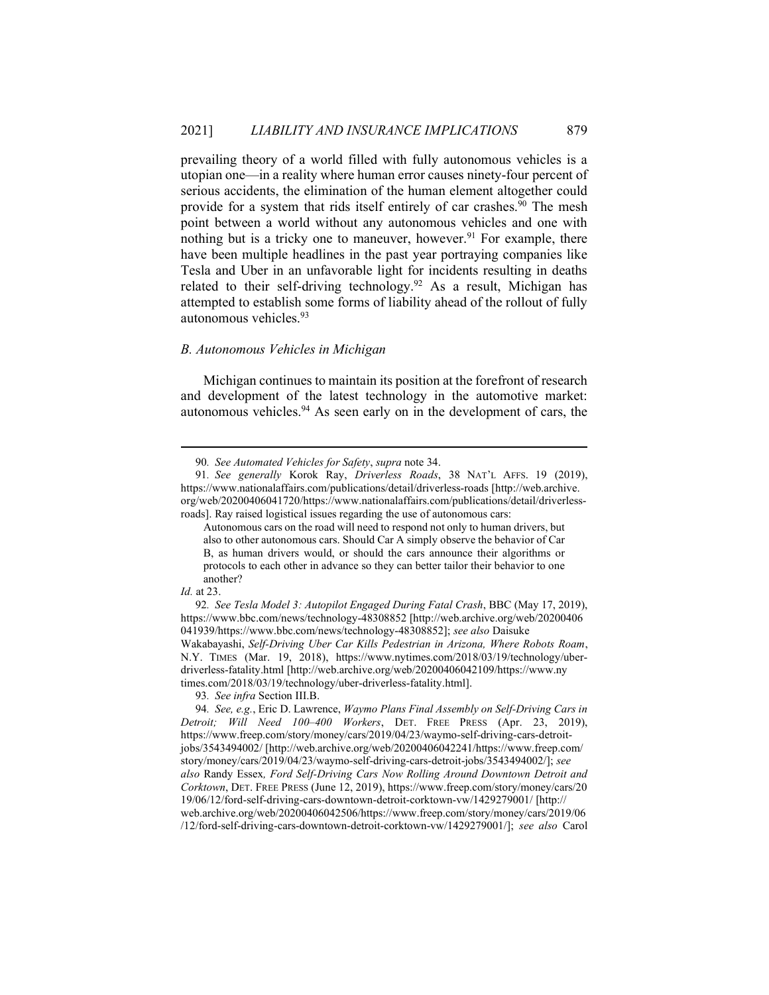prevailing theory of a world filled with fully autonomous vehicles is a utopian one—in a reality where human error causes ninety-four percent of serious accidents, the elimination of the human element altogether could provide for a system that rids itself entirely of car crashes.<sup>90</sup> The mesh point between a world without any autonomous vehicles and one with nothing but is a tricky one to maneuver, however.<sup>91</sup> For example, there have been multiple headlines in the past year portraying companies like Tesla and Uber in an unfavorable light for incidents resulting in deaths related to their self-driving technology.<sup>92</sup> As a result, Michigan has attempted to establish some forms of liability ahead of the rollout of fully autonomous vehicles.<sup>93</sup>

### B. Autonomous Vehicles in Michigan

Michigan continues to maintain its position at the forefront of research and development of the latest technology in the automotive market: autonomous vehicles. $94$  As seen early on in the development of cars, the

93. See infra Section III.B.

<sup>90</sup>. See Automated Vehicles for Safety, supra note 34.

<sup>91</sup>. See generally Korok Ray, Driverless Roads, 38 NAT'L AFFS. 19 (2019), https://www.nationalaffairs.com/publications/detail/driverless-roads [http://web.archive. org/web/20200406041720/https://www.nationalaffairs.com/publications/detail/driverlessroads]. Ray raised logistical issues regarding the use of autonomous cars:

Autonomous cars on the road will need to respond not only to human drivers, but also to other autonomous cars. Should Car A simply observe the behavior of Car B, as human drivers would, or should the cars announce their algorithms or protocols to each other in advance so they can better tailor their behavior to one another?

Id. at 23.

<sup>92</sup>. See Tesla Model 3: Autopilot Engaged During Fatal Crash, BBC (May 17, 2019), https://www.bbc.com/news/technology-48308852 [http://web.archive.org/web/20200406 041939/https://www.bbc.com/news/technology-48308852]; see also Daisuke Wakabayashi, Self-Driving Uber Car Kills Pedestrian in Arizona, Where Robots Roam, N.Y. TIMES (Mar. 19, 2018), https://www.nytimes.com/2018/03/19/technology/uberdriverless-fatality.html [http://web.archive.org/web/20200406042109/https://www.ny times.com/2018/03/19/technology/uber-driverless-fatality.html].

<sup>94</sup>. See, e.g., Eric D. Lawrence, Waymo Plans Final Assembly on Self-Driving Cars in Detroit; Will Need 100–400 Workers, DET. FREE PRESS (Apr. 23, 2019), https://www.freep.com/story/money/cars/2019/04/23/waymo-self-driving-cars-detroitjobs/3543494002/ [http://web.archive.org/web/20200406042241/https://www.freep.com/ story/money/cars/2019/04/23/waymo-self-driving-cars-detroit-jobs/3543494002/]; see also Randy Essex, Ford Self-Driving Cars Now Rolling Around Downtown Detroit and Corktown, DET. FREE PRESS (June 12, 2019), https://www.freep.com/story/money/cars/20 19/06/12/ford-self-driving-cars-downtown-detroit-corktown-vw/1429279001/ [http:// web.archive.org/web/20200406042506/https://www.freep.com/story/money/cars/2019/06 /12/ford-self-driving-cars-downtown-detroit-corktown-vw/1429279001/]; see also Carol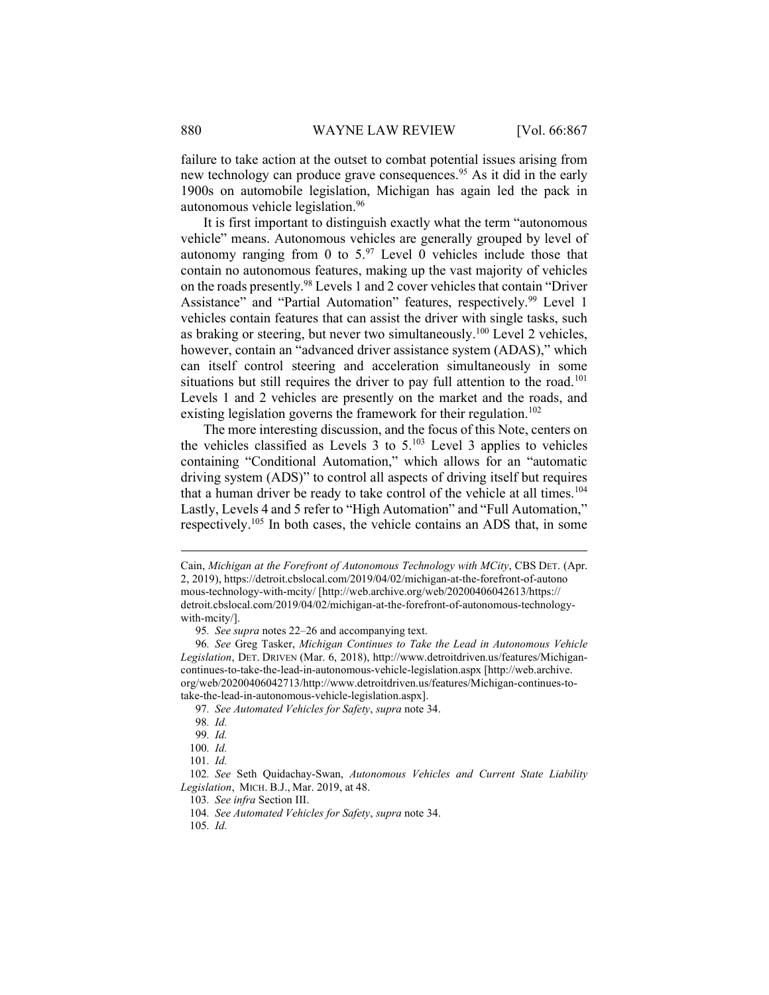failure to take action at the outset to combat potential issues arising from new technology can produce grave consequences.<sup>95</sup> As it did in the early 1900s on automobile legislation, Michigan has again led the pack in autonomous vehicle legislation.<sup>96</sup>

It is first important to distinguish exactly what the term "autonomous vehicle" means. Autonomous vehicles are generally grouped by level of autonomy ranging from 0 to  $5.97$  Level 0 vehicles include those that contain no autonomous features, making up the vast majority of vehicles on the roads presently.<sup>98</sup> Levels 1 and 2 cover vehicles that contain "Driver Assistance" and "Partial Automation" features, respectively.<sup>99</sup> Level 1 vehicles contain features that can assist the driver with single tasks, such as braking or steering, but never two simultaneously.<sup>100</sup> Level 2 vehicles, however, contain an "advanced driver assistance system (ADAS)," which can itself control steering and acceleration simultaneously in some situations but still requires the driver to pay full attention to the road.<sup>101</sup> Levels 1 and 2 vehicles are presently on the market and the roads, and existing legislation governs the framework for their regulation.<sup>102</sup>

The more interesting discussion, and the focus of this Note, centers on the vehicles classified as Levels  $3$  to  $5^{103}$  Level  $3$  applies to vehicles containing "Conditional Automation," which allows for an "automatic driving system (ADS)" to control all aspects of driving itself but requires that a human driver be ready to take control of the vehicle at all times.<sup>104</sup> Lastly, Levels 4 and 5 refer to "High Automation" and "Full Automation," respectively.<sup>105</sup> In both cases, the vehicle contains an ADS that, in some

Cain, Michigan at the Forefront of Autonomous Technology with MCity, CBS DET. (Apr. 2, 2019), https://detroit.cbslocal.com/2019/04/02/michigan-at-the-forefront-of-autono mous-technology-with-mcity/ [http://web.archive.org/web/20200406042613/https:// detroit.cbslocal.com/2019/04/02/michigan-at-the-forefront-of-autonomous-technologywith-mcity/].

<sup>95</sup>. See supra notes 22–26 and accompanying text.

<sup>96</sup>. See Greg Tasker, Michigan Continues to Take the Lead in Autonomous Vehicle Legislation, DET. DRIVEN (Mar. 6, 2018), http://www.detroitdriven.us/features/Michigancontinues-to-take-the-lead-in-autonomous-vehicle-legislation.aspx [http://web.archive. org/web/20200406042713/http://www.detroitdriven.us/features/Michigan-continues-totake-the-lead-in-autonomous-vehicle-legislation.aspx].

<sup>97</sup>. See Automated Vehicles for Safety, supra note 34.

<sup>98</sup>. Id.

<sup>99</sup>. Id.

<sup>100</sup>. Id.

<sup>101</sup>. Id.

<sup>102</sup>. See Seth Quidachay-Swan, Autonomous Vehicles and Current State Liability Legislation, MICH. B.J., Mar. 2019, at 48.

<sup>103</sup>. See infra Section III.

<sup>104</sup>. See Automated Vehicles for Safety, supra note 34.

<sup>105</sup>. Id.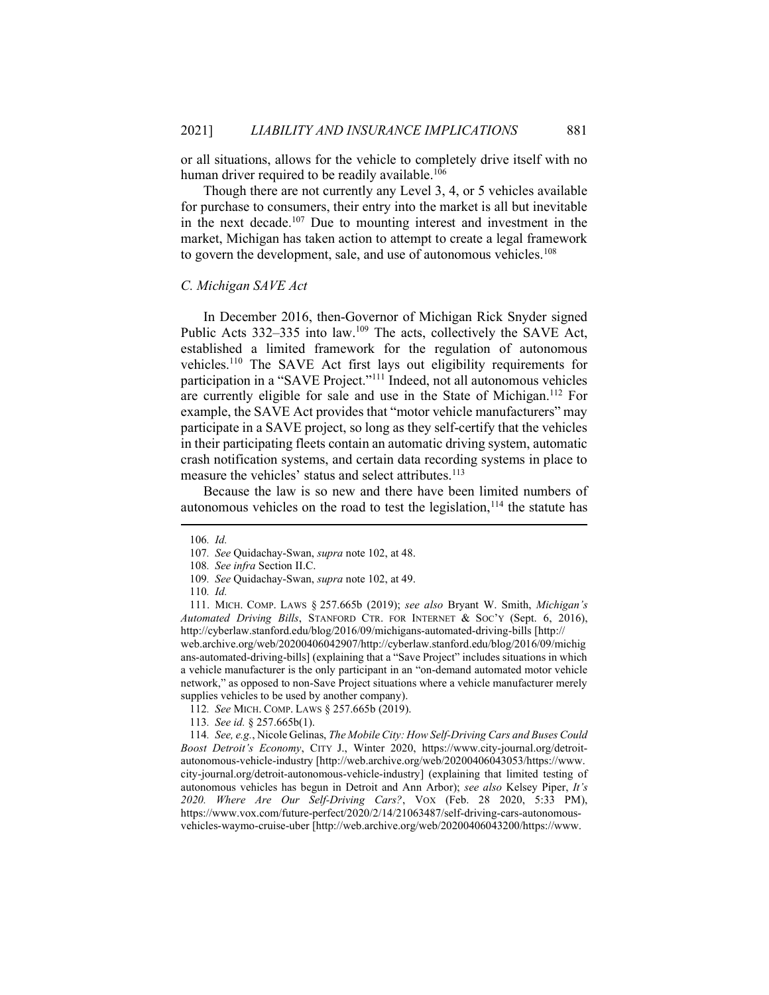or all situations, allows for the vehicle to completely drive itself with no human driver required to be readily available.<sup>106</sup>

Though there are not currently any Level 3, 4, or 5 vehicles available for purchase to consumers, their entry into the market is all but inevitable in the next decade.<sup>107</sup> Due to mounting interest and investment in the market, Michigan has taken action to attempt to create a legal framework to govern the development, sale, and use of autonomous vehicles.<sup>108</sup>

## C. Michigan SAVE Act

In December 2016, then-Governor of Michigan Rick Snyder signed Public Acts 332–335 into law.<sup>109</sup> The acts, collectively the SAVE Act, established a limited framework for the regulation of autonomous vehicles.<sup>110</sup> The SAVE Act first lays out eligibility requirements for participation in a "SAVE Project."<sup>111</sup> Indeed, not all autonomous vehicles are currently eligible for sale and use in the State of Michigan.<sup>112</sup> For example, the SAVE Act provides that "motor vehicle manufacturers" may participate in a SAVE project, so long as they self-certify that the vehicles in their participating fleets contain an automatic driving system, automatic crash notification systems, and certain data recording systems in place to measure the vehicles' status and select attributes.<sup>113</sup>

Because the law is so new and there have been limited numbers of autonomous vehicles on the road to test the legislation, $114$  the statute has

<sup>106</sup>. Id.

<sup>107</sup>. See Quidachay-Swan, supra note 102, at 48.

<sup>108</sup>. See infra Section II.C.

<sup>109</sup>. See Quidachay-Swan, supra note 102, at 49.

<sup>110</sup>. Id.

 <sup>111.</sup> MICH. COMP. LAWS § 257.665b (2019); see also Bryant W. Smith, Michigan's Automated Driving Bills, STANFORD CTR. FOR INTERNET & SOC'Y (Sept. 6, 2016), http://cyberlaw.stanford.edu/blog/2016/09/michigans-automated-driving-bills [http:// web.archive.org/web/20200406042907/http://cyberlaw.stanford.edu/blog/2016/09/michig ans-automated-driving-bills] (explaining that a "Save Project" includes situations in which a vehicle manufacturer is the only participant in an "on-demand automated motor vehicle network," as opposed to non-Save Project situations where a vehicle manufacturer merely supplies vehicles to be used by another company).

<sup>112</sup>. See MICH. COMP. LAWS § 257.665b (2019).

<sup>113</sup>. See id. § 257.665b(1).

<sup>114</sup>. See, e.g., Nicole Gelinas, The Mobile City: How Self-Driving Cars and Buses Could Boost Detroit's Economy, CITY J., Winter 2020, https://www.city-journal.org/detroitautonomous-vehicle-industry [http://web.archive.org/web/20200406043053/https://www. city-journal.org/detroit-autonomous-vehicle-industry] (explaining that limited testing of autonomous vehicles has begun in Detroit and Ann Arbor); see also Kelsey Piper, It's 2020. Where Are Our Self-Driving Cars?, VOX (Feb. 28 2020, 5:33 PM), https://www.vox.com/future-perfect/2020/2/14/21063487/self-driving-cars-autonomousvehicles-waymo-cruise-uber [http://web.archive.org/web/20200406043200/https://www.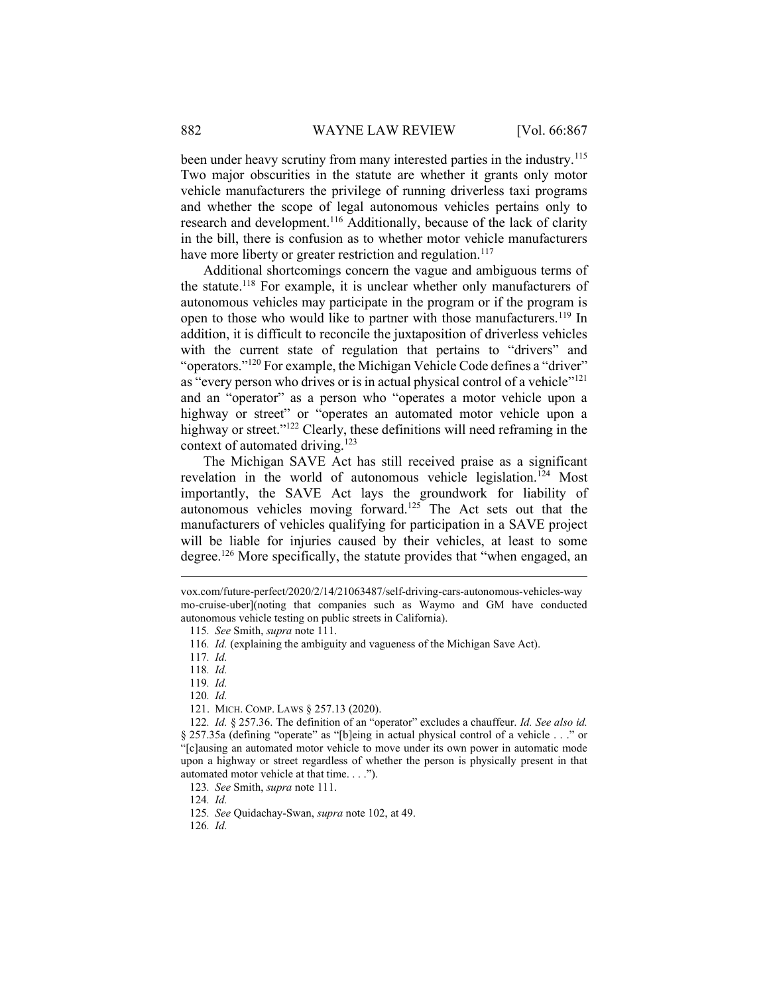been under heavy scrutiny from many interested parties in the industry.<sup>115</sup> Two major obscurities in the statute are whether it grants only motor vehicle manufacturers the privilege of running driverless taxi programs and whether the scope of legal autonomous vehicles pertains only to research and development.<sup>116</sup> Additionally, because of the lack of clarity in the bill, there is confusion as to whether motor vehicle manufacturers have more liberty or greater restriction and regulation.<sup>117</sup>

Additional shortcomings concern the vague and ambiguous terms of the statute.<sup>118</sup> For example, it is unclear whether only manufacturers of autonomous vehicles may participate in the program or if the program is open to those who would like to partner with those manufacturers.<sup>119</sup> In addition, it is difficult to reconcile the juxtaposition of driverless vehicles with the current state of regulation that pertains to "drivers" and "operators."<sup>120</sup> For example, the Michigan Vehicle Code defines a "driver" as "every person who drives or is in actual physical control of a vehicle"<sup>121</sup> and an "operator" as a person who "operates a motor vehicle upon a highway or street" or "operates an automated motor vehicle upon a highway or street."<sup>122</sup> Clearly, these definitions will need reframing in the context of automated driving.<sup>123</sup>

The Michigan SAVE Act has still received praise as a significant revelation in the world of autonomous vehicle legislation.<sup>124</sup> Most importantly, the SAVE Act lays the groundwork for liability of autonomous vehicles moving forward.<sup>125</sup> The Act sets out that the manufacturers of vehicles qualifying for participation in a SAVE project will be liable for injuries caused by their vehicles, at least to some degree.<sup>126</sup> More specifically, the statute provides that "when engaged, an

115. See Smith, supra note 111.

117. Id.

119. Id.

120. Id.

121. MICH. COMP. LAWS § 257.13 (2020).

122. Id. § 257.36. The definition of an "operator" excludes a chauffeur. Id. See also id. § 257.35a (defining "operate" as "[b]eing in actual physical control of a vehicle . . ." or "[c]ausing an automated motor vehicle to move under its own power in automatic mode upon a highway or street regardless of whether the person is physically present in that automated motor vehicle at that time. . . .").

123. See Smith, supra note 111.

124. Id.

125. See Quidachay-Swan, supra note 102, at 49.

126. Id.

vox.com/future-perfect/2020/2/14/21063487/self-driving-cars-autonomous-vehicles-way mo-cruise-uber](noting that companies such as Waymo and GM have conducted autonomous vehicle testing on public streets in California).

<sup>116</sup>. Id. (explaining the ambiguity and vagueness of the Michigan Save Act).

<sup>118</sup>. Id.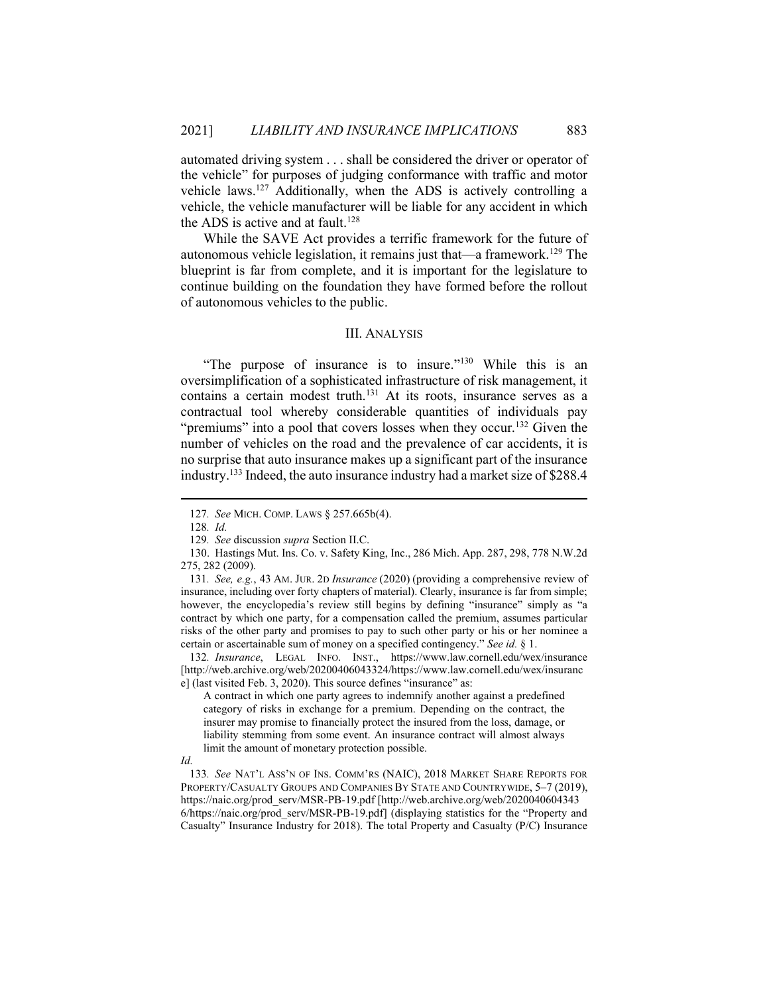automated driving system . . . shall be considered the driver or operator of the vehicle" for purposes of judging conformance with traffic and motor vehicle laws.<sup>127</sup> Additionally, when the ADS is actively controlling a vehicle, the vehicle manufacturer will be liable for any accident in which the ADS is active and at fault.<sup>128</sup>

While the SAVE Act provides a terrific framework for the future of autonomous vehicle legislation, it remains just that—a framework.<sup>129</sup> The blueprint is far from complete, and it is important for the legislature to continue building on the foundation they have formed before the rollout of autonomous vehicles to the public.

### III. ANALYSIS

"The purpose of insurance is to insure."<sup>130</sup> While this is an oversimplification of a sophisticated infrastructure of risk management, it contains a certain modest truth.<sup>131</sup> At its roots, insurance serves as a contractual tool whereby considerable quantities of individuals pay "premiums" into a pool that covers losses when they occur.<sup>132</sup> Given the number of vehicles on the road and the prevalence of car accidents, it is no surprise that auto insurance makes up a significant part of the insurance industry.<sup>133</sup> Indeed, the auto insurance industry had a market size of \$288.4

132. Insurance, LEGAL INFO. INST., https://www.law.cornell.edu/wex/insurance [http://web.archive.org/web/20200406043324/https://www.law.cornell.edu/wex/insuranc e] (last visited Feb. 3, 2020). This source defines "insurance" as:

A contract in which one party agrees to indemnify another against a predefined category of risks in exchange for a premium. Depending on the contract, the insurer may promise to financially protect the insured from the loss, damage, or liability stemming from some event. An insurance contract will almost always limit the amount of monetary protection possible.

<sup>127</sup>. See MICH. COMP. LAWS § 257.665b(4).

<sup>128</sup>. Id.

<sup>129</sup>. See discussion supra Section II.C.

 <sup>130.</sup> Hastings Mut. Ins. Co. v. Safety King, Inc., 286 Mich. App. 287, 298, 778 N.W.2d 275, 282 (2009).

<sup>131</sup>. See, e.g., 43 AM. JUR. 2D Insurance (2020) (providing a comprehensive review of insurance, including over forty chapters of material). Clearly, insurance is far from simple; however, the encyclopedia's review still begins by defining "insurance" simply as "a contract by which one party, for a compensation called the premium, assumes particular risks of the other party and promises to pay to such other party or his or her nominee a certain or ascertainable sum of money on a specified contingency." See id. § 1.

Id.

<sup>133</sup>. See NAT'L ASS'N OF INS. COMM'RS (NAIC), 2018 MARKET SHARE REPORTS FOR PROPERTY/CASUALTY GROUPS AND COMPANIES BY STATE AND COUNTRYWIDE, 5–7 (2019), https://naic.org/prod\_serv/MSR-PB-19.pdf [http://web.archive.org/web/2020040604343 6/https://naic.org/prod\_serv/MSR-PB-19.pdf] (displaying statistics for the "Property and Casualty" Insurance Industry for 2018). The total Property and Casualty (P/C) Insurance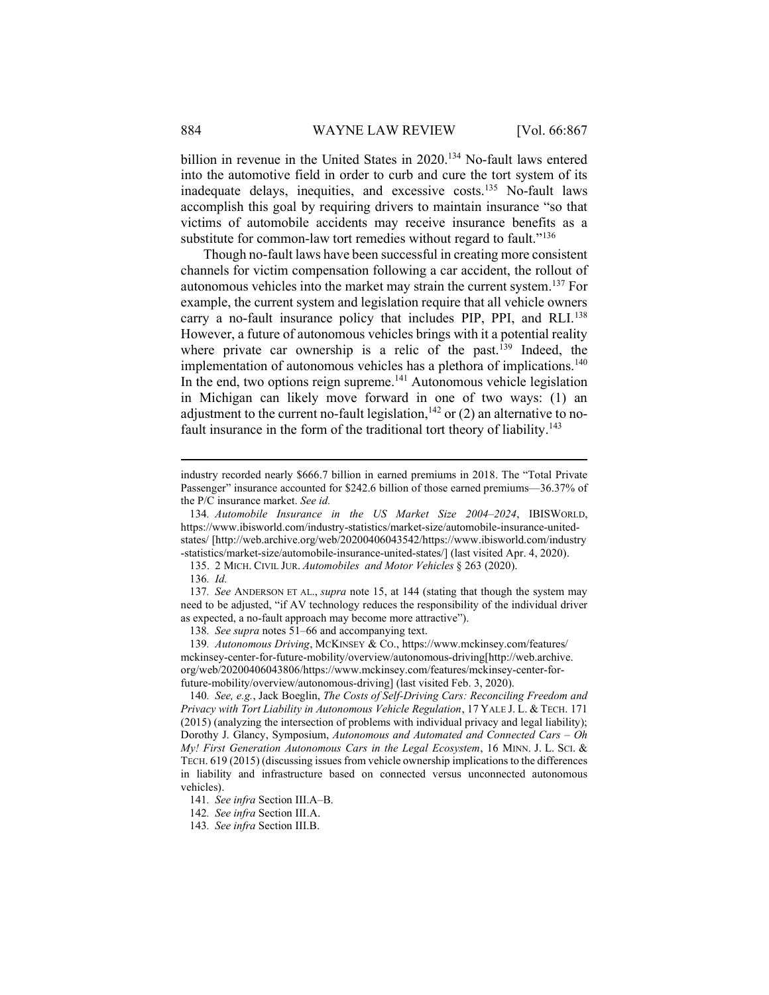billion in revenue in the United States in 2020.<sup>134</sup> No-fault laws entered into the automotive field in order to curb and cure the tort system of its inadequate delays, inequities, and excessive costs.<sup>135</sup> No-fault laws accomplish this goal by requiring drivers to maintain insurance "so that victims of automobile accidents may receive insurance benefits as a substitute for common-law tort remedies without regard to fault."<sup>136</sup>

Though no-fault laws have been successful in creating more consistent channels for victim compensation following a car accident, the rollout of autonomous vehicles into the market may strain the current system.<sup>137</sup> For example, the current system and legislation require that all vehicle owners carry a no-fault insurance policy that includes PIP, PPI, and RLI.<sup>138</sup> However, a future of autonomous vehicles brings with it a potential reality where private car ownership is a relic of the past.<sup>139</sup> Indeed, the implementation of autonomous vehicles has a plethora of implications.<sup>140</sup> In the end, two options reign supreme.<sup>141</sup> Autonomous vehicle legislation in Michigan can likely move forward in one of two ways: (1) an adjustment to the current no-fault legislation,  $142$  or (2) an alternative to nofault insurance in the form of the traditional tort theory of liability.<sup>143</sup>

136. Id.

137. See ANDERSON ET AL., supra note 15, at 144 (stating that though the system may need to be adjusted, "if AV technology reduces the responsibility of the individual driver as expected, a no-fault approach may become more attractive").

138. See supra notes 51–66 and accompanying text.

139. Autonomous Driving, MCKINSEY & CO., https://www.mckinsey.com/features/ mckinsey-center-for-future-mobility/overview/autonomous-driving[http://web.archive. org/web/20200406043806/https://www.mckinsey.com/features/mckinsey-center-forfuture-mobility/overview/autonomous-driving] (last visited Feb. 3, 2020).

140. See, e.g., Jack Boeglin, The Costs of Self-Driving Cars: Reconciling Freedom and Privacy with Tort Liability in Autonomous Vehicle Regulation, 17 YALE J. L. & TECH. 171 (2015) (analyzing the intersection of problems with individual privacy and legal liability); Dorothy J. Glancy, Symposium, Autonomous and Automated and Connected Cars – Oh My! First Generation Autonomous Cars in the Legal Ecosystem, 16 MINN. J. L. SCI. & TECH. 619 (2015) (discussing issues from vehicle ownership implications to the differences in liability and infrastructure based on connected versus unconnected autonomous vehicles).

industry recorded nearly \$666.7 billion in earned premiums in 2018. The "Total Private Passenger" insurance accounted for \$242.6 billion of those earned premiums—36.37% of the P/C insurance market. See id.

<sup>134</sup>. Automobile Insurance in the US Market Size 2004–2024, IBISWORLD, https://www.ibisworld.com/industry-statistics/market-size/automobile-insurance-unitedstates/ [http://web.archive.org/web/20200406043542/https://www.ibisworld.com/industry -statistics/market-size/automobile-insurance-united-states/] (last visited Apr. 4, 2020).

 <sup>135. 2</sup> MICH. CIVIL JUR. Automobiles and Motor Vehicles § 263 (2020).

<sup>141</sup>. See infra Section III.A–B.

<sup>142</sup>. See infra Section III.A.

<sup>143</sup>. See infra Section III.B.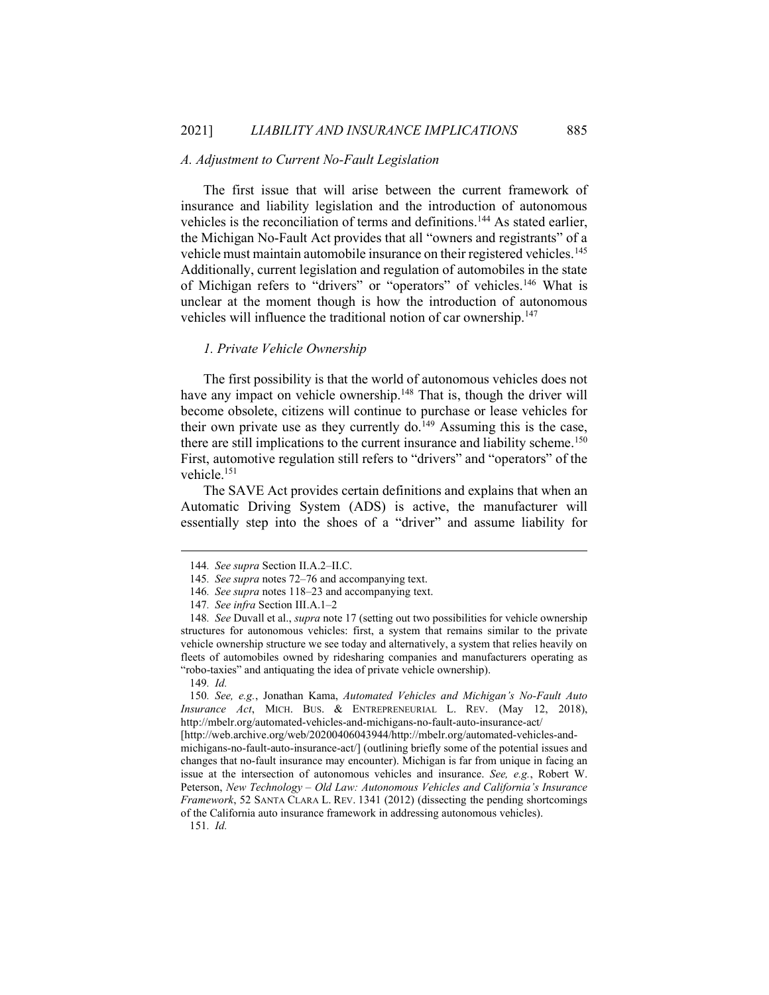### A. Adjustment to Current No-Fault Legislation

The first issue that will arise between the current framework of insurance and liability legislation and the introduction of autonomous vehicles is the reconciliation of terms and definitions.<sup>144</sup> As stated earlier, the Michigan No-Fault Act provides that all "owners and registrants" of a vehicle must maintain automobile insurance on their registered vehicles.<sup>145</sup> Additionally, current legislation and regulation of automobiles in the state of Michigan refers to "drivers" or "operators" of vehicles.<sup>146</sup> What is unclear at the moment though is how the introduction of autonomous vehicles will influence the traditional notion of car ownership.<sup>147</sup>

### 1. Private Vehicle Ownership

The first possibility is that the world of autonomous vehicles does not have any impact on vehicle ownership.<sup>148</sup> That is, though the driver will become obsolete, citizens will continue to purchase or lease vehicles for their own private use as they currently do.<sup>149</sup> Assuming this is the case, there are still implications to the current insurance and liability scheme.<sup>150</sup> First, automotive regulation still refers to "drivers" and "operators" of the vehicle.<sup>151</sup>

The SAVE Act provides certain definitions and explains that when an Automatic Driving System (ADS) is active, the manufacturer will essentially step into the shoes of a "driver" and assume liability for

150. See, e.g., Jonathan Kama, Automated Vehicles and Michigan's No-Fault Auto Insurance Act, MICH. BUS. & ENTREPRENEURIAL L. REV. (May 12, 2018), http://mbelr.org/automated-vehicles-and-michigans-no-fault-auto-insurance-act/

[http://web.archive.org/web/20200406043944/http://mbelr.org/automated-vehicles-andmichigans-no-fault-auto-insurance-act/] (outlining briefly some of the potential issues and changes that no-fault insurance may encounter). Michigan is far from unique in facing an issue at the intersection of autonomous vehicles and insurance. See, e.g., Robert W. Peterson, New Technology – Old Law: Autonomous Vehicles and California's Insurance Framework, 52 SANTA CLARA L. REV. 1341 (2012) (dissecting the pending shortcomings of the California auto insurance framework in addressing autonomous vehicles).

151. Id.

<sup>144</sup>. See supra Section II.A.2–II.C.

<sup>145</sup>. See supra notes 72–76 and accompanying text.

<sup>146</sup>. See supra notes 118–23 and accompanying text.

<sup>147</sup>. See infra Section III.A.1–2

<sup>148</sup>. See Duvall et al., supra note 17 (setting out two possibilities for vehicle ownership structures for autonomous vehicles: first, a system that remains similar to the private vehicle ownership structure we see today and alternatively, a system that relies heavily on fleets of automobiles owned by ridesharing companies and manufacturers operating as "robo-taxies" and antiquating the idea of private vehicle ownership).

<sup>149.</sup>  $Id$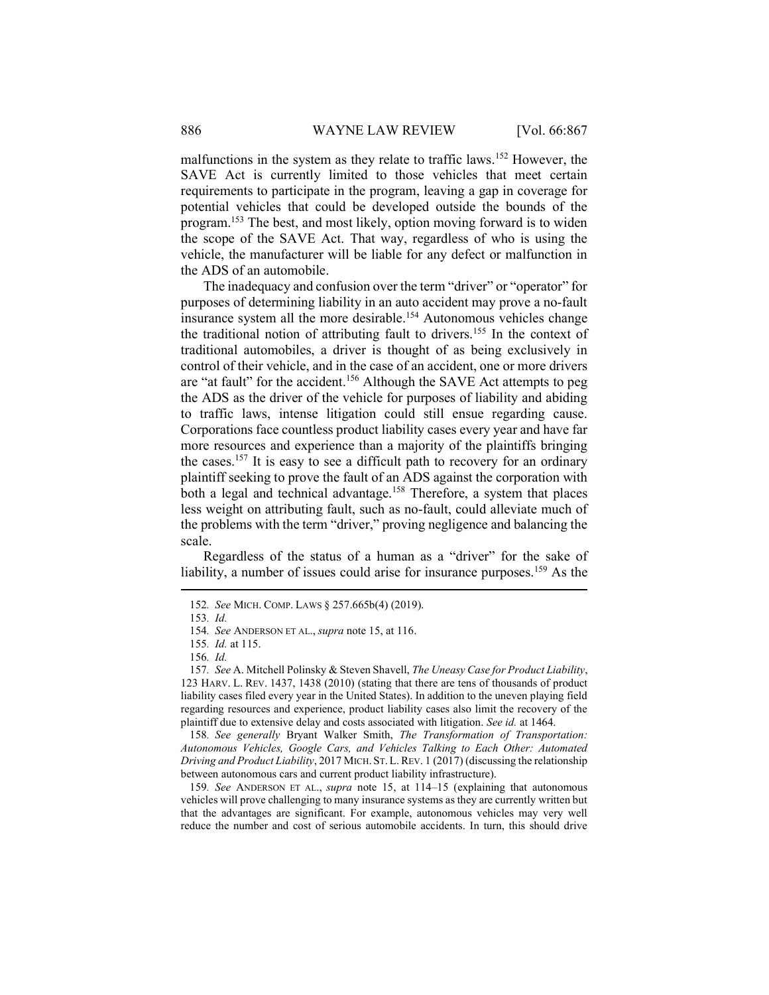malfunctions in the system as they relate to traffic laws.<sup>152</sup> However, the SAVE Act is currently limited to those vehicles that meet certain requirements to participate in the program, leaving a gap in coverage for potential vehicles that could be developed outside the bounds of the program.<sup>153</sup> The best, and most likely, option moving forward is to widen the scope of the SAVE Act. That way, regardless of who is using the vehicle, the manufacturer will be liable for any defect or malfunction in the ADS of an automobile.

The inadequacy and confusion over the term "driver" or "operator" for purposes of determining liability in an auto accident may prove a no-fault insurance system all the more desirable.<sup>154</sup> Autonomous vehicles change the traditional notion of attributing fault to drivers.<sup>155</sup> In the context of traditional automobiles, a driver is thought of as being exclusively in control of their vehicle, and in the case of an accident, one or more drivers are "at fault" for the accident.<sup>156</sup> Although the SAVE Act attempts to peg the ADS as the driver of the vehicle for purposes of liability and abiding to traffic laws, intense litigation could still ensue regarding cause. Corporations face countless product liability cases every year and have far more resources and experience than a majority of the plaintiffs bringing the cases.<sup>157</sup> It is easy to see a difficult path to recovery for an ordinary plaintiff seeking to prove the fault of an ADS against the corporation with both a legal and technical advantage.<sup>158</sup> Therefore, a system that places less weight on attributing fault, such as no-fault, could alleviate much of the problems with the term "driver," proving negligence and balancing the scale.

Regardless of the status of a human as a "driver" for the sake of liability, a number of issues could arise for insurance purposes.<sup>159</sup> As the

158. See generally Bryant Walker Smith, The Transformation of Transportation: Autonomous Vehicles, Google Cars, and Vehicles Talking to Each Other: Automated Driving and Product Liability, 2017 MICH. ST.L.REV. 1 (2017) (discussing the relationship between autonomous cars and current product liability infrastructure).

159. See ANDERSON ET AL., supra note 15, at 114–15 (explaining that autonomous vehicles will prove challenging to many insurance systems as they are currently written but that the advantages are significant. For example, autonomous vehicles may very well reduce the number and cost of serious automobile accidents. In turn, this should drive

<sup>152</sup>. See MICH. COMP. LAWS § 257.665b(4) (2019).

<sup>153</sup>. Id.

<sup>154</sup>. See ANDERSON ET AL., supra note 15, at 116.

<sup>155</sup>. Id. at 115.

<sup>156</sup>. Id.

<sup>157</sup>. See A. Mitchell Polinsky & Steven Shavell, The Uneasy Case for Product Liability, 123 HARV. L. REV. 1437, 1438 (2010) (stating that there are tens of thousands of product liability cases filed every year in the United States). In addition to the uneven playing field regarding resources and experience, product liability cases also limit the recovery of the plaintiff due to extensive delay and costs associated with litigation. See id. at 1464.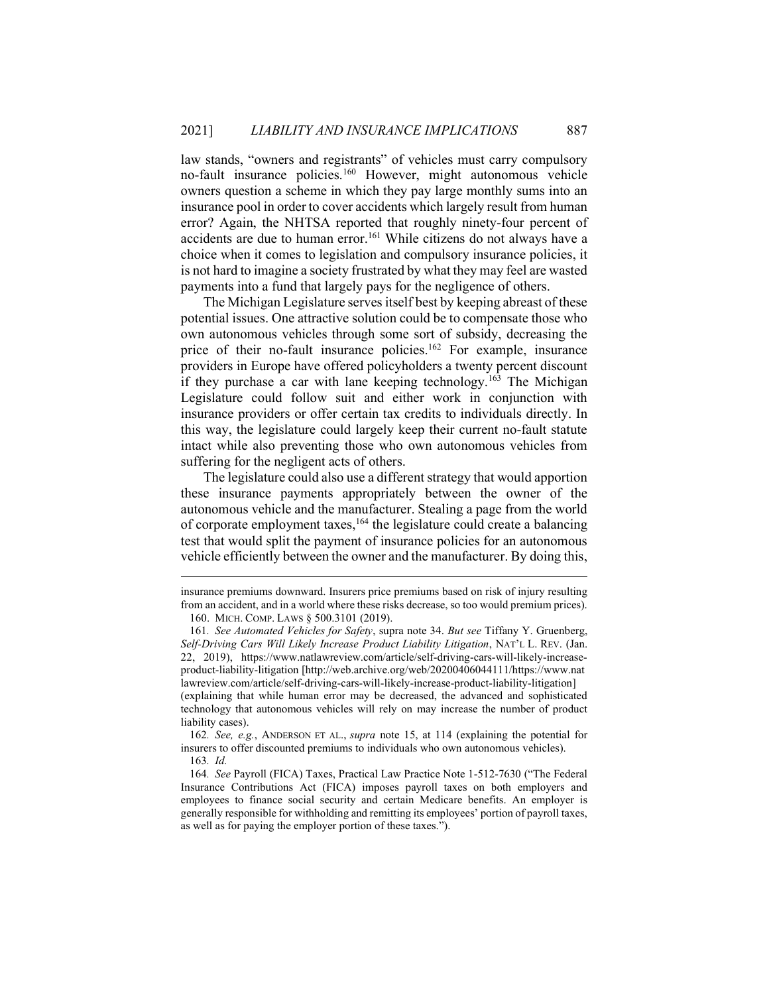law stands, "owners and registrants" of vehicles must carry compulsory no-fault insurance policies.<sup>160</sup> However, might autonomous vehicle owners question a scheme in which they pay large monthly sums into an insurance pool in order to cover accidents which largely result from human error? Again, the NHTSA reported that roughly ninety-four percent of accidents are due to human error.<sup>161</sup> While citizens do not always have a choice when it comes to legislation and compulsory insurance policies, it is not hard to imagine a society frustrated by what they may feel are wasted payments into a fund that largely pays for the negligence of others.

The Michigan Legislature serves itself best by keeping abreast of these potential issues. One attractive solution could be to compensate those who own autonomous vehicles through some sort of subsidy, decreasing the price of their no-fault insurance policies.<sup>162</sup> For example, insurance providers in Europe have offered policyholders a twenty percent discount if they purchase a car with lane keeping technology.<sup>163</sup> The Michigan Legislature could follow suit and either work in conjunction with insurance providers or offer certain tax credits to individuals directly. In this way, the legislature could largely keep their current no-fault statute intact while also preventing those who own autonomous vehicles from suffering for the negligent acts of others.

The legislature could also use a different strategy that would apportion these insurance payments appropriately between the owner of the autonomous vehicle and the manufacturer. Stealing a page from the world of corporate employment taxes,<sup>164</sup> the legislature could create a balancing test that would split the payment of insurance policies for an autonomous vehicle efficiently between the owner and the manufacturer. By doing this,

162. See, e.g., ANDERSON ET AL., supra note 15, at 114 (explaining the potential for insurers to offer discounted premiums to individuals who own autonomous vehicles).

liability cases).

164. See Payroll (FICA) Taxes, Practical Law Practice Note 1-512-7630 ("The Federal Insurance Contributions Act (FICA) imposes payroll taxes on both employers and employees to finance social security and certain Medicare benefits. An employer is generally responsible for withholding and remitting its employees' portion of payroll taxes, as well as for paying the employer portion of these taxes.").

insurance premiums downward. Insurers price premiums based on risk of injury resulting from an accident, and in a world where these risks decrease, so too would premium prices). 160. MICH. COMP. LAWS § 500.3101 (2019).

<sup>161</sup>. See Automated Vehicles for Safety, supra note 34. But see Tiffany Y. Gruenberg, Self-Driving Cars Will Likely Increase Product Liability Litigation, NAT'L L. REV. (Jan. 22, 2019), https://www.natlawreview.com/article/self-driving-cars-will-likely-increaseproduct-liability-litigation [http://web.archive.org/web/20200406044111/https://www.nat lawreview.com/article/self-driving-cars-will-likely-increase-product-liability-litigation] (explaining that while human error may be decreased, the advanced and sophisticated technology that autonomous vehicles will rely on may increase the number of product

<sup>163</sup>. Id.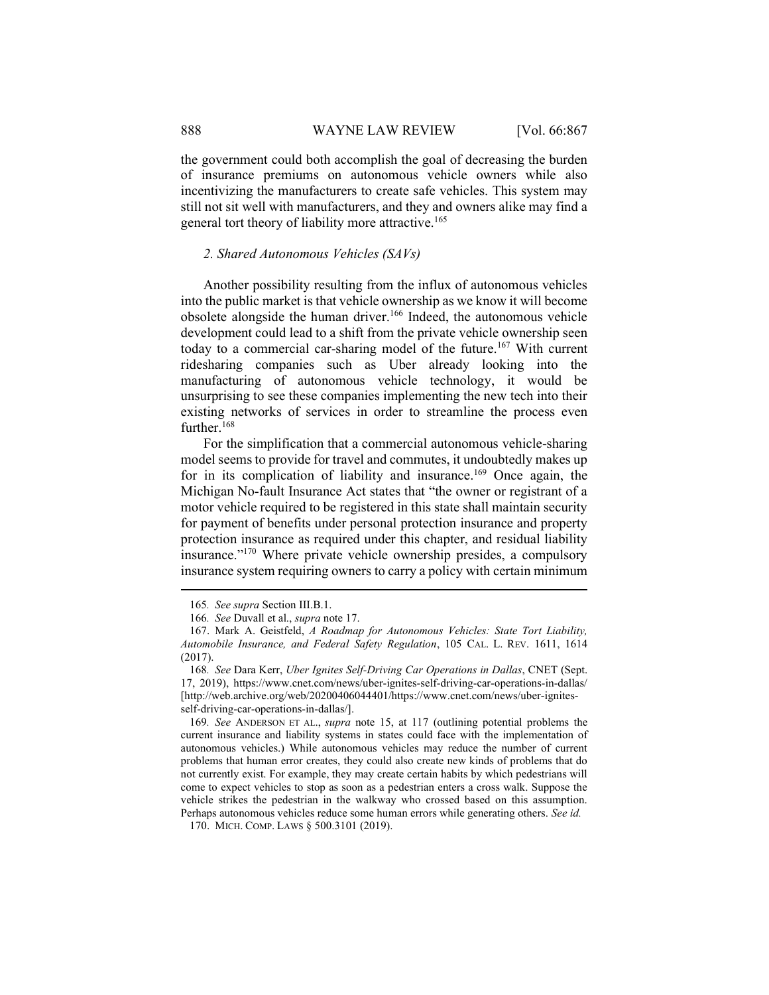the government could both accomplish the goal of decreasing the burden of insurance premiums on autonomous vehicle owners while also incentivizing the manufacturers to create safe vehicles. This system may still not sit well with manufacturers, and they and owners alike may find a general tort theory of liability more attractive.<sup>165</sup>

#### 2. Shared Autonomous Vehicles (SAVs)

Another possibility resulting from the influx of autonomous vehicles into the public market is that vehicle ownership as we know it will become obsolete alongside the human driver.<sup>166</sup> Indeed, the autonomous vehicle development could lead to a shift from the private vehicle ownership seen today to a commercial car-sharing model of the future.<sup>167</sup> With current ridesharing companies such as Uber already looking into the manufacturing of autonomous vehicle technology, it would be unsurprising to see these companies implementing the new tech into their existing networks of services in order to streamline the process even further.<sup>168</sup>

For the simplification that a commercial autonomous vehicle-sharing model seems to provide for travel and commutes, it undoubtedly makes up for in its complication of liability and insurance.<sup>169</sup> Once again, the Michigan No-fault Insurance Act states that "the owner or registrant of a motor vehicle required to be registered in this state shall maintain security for payment of benefits under personal protection insurance and property protection insurance as required under this chapter, and residual liability insurance."<sup>170</sup> Where private vehicle ownership presides, a compulsory insurance system requiring owners to carry a policy with certain minimum

169. See ANDERSON ET AL., supra note 15, at 117 (outlining potential problems the current insurance and liability systems in states could face with the implementation of autonomous vehicles.) While autonomous vehicles may reduce the number of current problems that human error creates, they could also create new kinds of problems that do not currently exist. For example, they may create certain habits by which pedestrians will come to expect vehicles to stop as soon as a pedestrian enters a cross walk. Suppose the vehicle strikes the pedestrian in the walkway who crossed based on this assumption. Perhaps autonomous vehicles reduce some human errors while generating others. See id.

<sup>165</sup>. See supra Section III.B.1.

<sup>166</sup>. See Duvall et al., supra note 17.

 <sup>167.</sup> Mark A. Geistfeld, A Roadmap for Autonomous Vehicles: State Tort Liability, Automobile Insurance, and Federal Safety Regulation, 105 CAL. L. REV. 1611, 1614 (2017).

<sup>168</sup>. See Dara Kerr, Uber Ignites Self-Driving Car Operations in Dallas, CNET (Sept. 17, 2019), https://www.cnet.com/news/uber-ignites-self-driving-car-operations-in-dallas/ [http://web.archive.org/web/20200406044401/https://www.cnet.com/news/uber-ignitesself-driving-car-operations-in-dallas/].

 <sup>170.</sup> MICH. COMP. LAWS § 500.3101 (2019).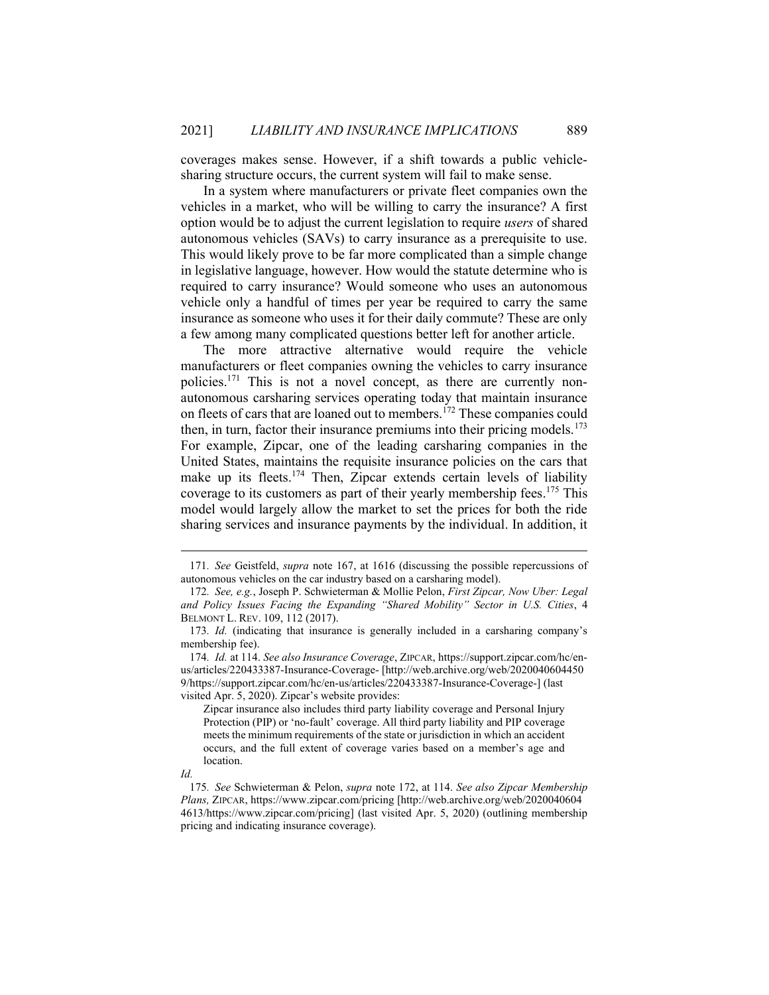coverages makes sense. However, if a shift towards a public vehiclesharing structure occurs, the current system will fail to make sense.

In a system where manufacturers or private fleet companies own the vehicles in a market, who will be willing to carry the insurance? A first option would be to adjust the current legislation to require users of shared autonomous vehicles (SAVs) to carry insurance as a prerequisite to use. This would likely prove to be far more complicated than a simple change in legislative language, however. How would the statute determine who is required to carry insurance? Would someone who uses an autonomous vehicle only a handful of times per year be required to carry the same insurance as someone who uses it for their daily commute? These are only a few among many complicated questions better left for another article.

The more attractive alternative would require the vehicle manufacturers or fleet companies owning the vehicles to carry insurance policies.171 This is not a novel concept, as there are currently nonautonomous carsharing services operating today that maintain insurance on fleets of cars that are loaned out to members.<sup>172</sup> These companies could then, in turn, factor their insurance premiums into their pricing models.<sup>173</sup> For example, Zipcar, one of the leading carsharing companies in the United States, maintains the requisite insurance policies on the cars that make up its fleets.<sup>174</sup> Then, Zipcar extends certain levels of liability coverage to its customers as part of their yearly membership fees.<sup>175</sup> This model would largely allow the market to set the prices for both the ride sharing services and insurance payments by the individual. In addition, it

<sup>171</sup>. See Geistfeld, supra note 167, at 1616 (discussing the possible repercussions of autonomous vehicles on the car industry based on a carsharing model).

<sup>172</sup>. See, e.g., Joseph P. Schwieterman & Mollie Pelon, First Zipcar, Now Uber: Legal and Policy Issues Facing the Expanding "Shared Mobility" Sector in U.S. Cities, 4 BELMONT L. REV. 109, 112 (2017).

<sup>173</sup>. Id. (indicating that insurance is generally included in a carsharing company's membership fee).

<sup>174</sup>. Id. at 114. See also Insurance Coverage, ZIPCAR, https://support.zipcar.com/hc/enus/articles/220433387-Insurance-Coverage- [http://web.archive.org/web/2020040604450 9/https://support.zipcar.com/hc/en-us/articles/220433387-Insurance-Coverage-] (last visited Apr. 5, 2020). Zipcar's website provides:

Zipcar insurance also includes third party liability coverage and Personal Injury Protection (PIP) or 'no-fault' coverage. All third party liability and PIP coverage meets the minimum requirements of the state or jurisdiction in which an accident occurs, and the full extent of coverage varies based on a member's age and location.

Id.

<sup>175</sup>. See Schwieterman & Pelon, supra note 172, at 114. See also Zipcar Membership Plans, ZIPCAR, https://www.zipcar.com/pricing [http://web.archive.org/web/2020040604 4613/https://www.zipcar.com/pricing] (last visited Apr. 5, 2020) (outlining membership pricing and indicating insurance coverage).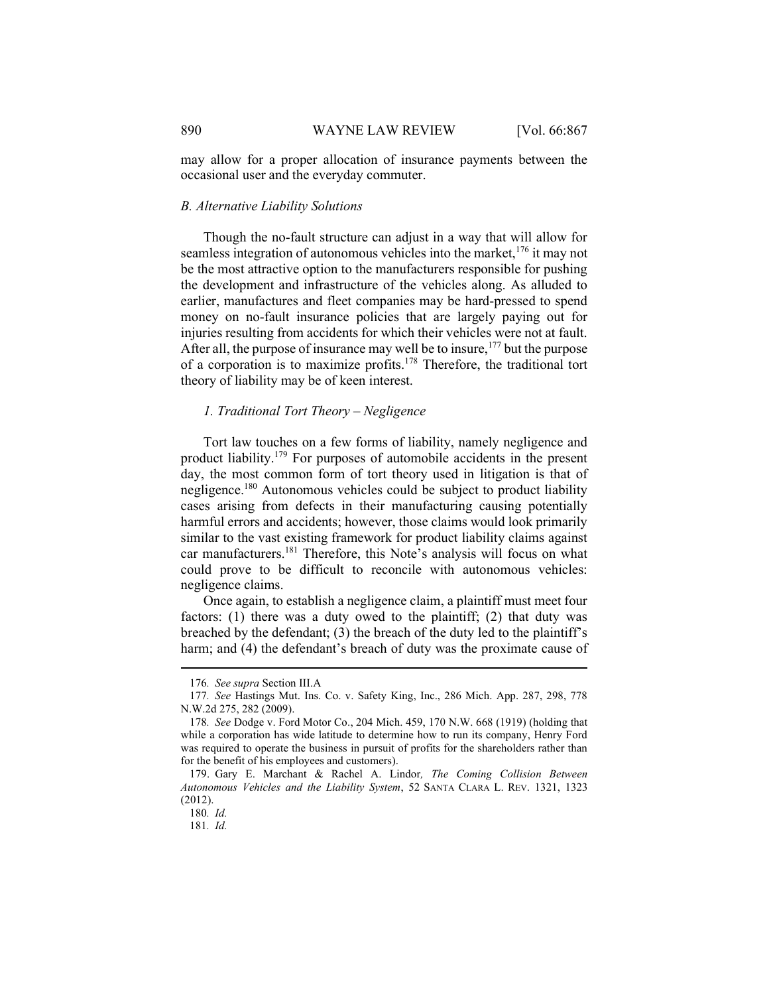may allow for a proper allocation of insurance payments between the occasional user and the everyday commuter.

# B. Alternative Liability Solutions

Though the no-fault structure can adjust in a way that will allow for seamless integration of autonomous vehicles into the market, <sup>176</sup> it may not be the most attractive option to the manufacturers responsible for pushing the development and infrastructure of the vehicles along. As alluded to earlier, manufactures and fleet companies may be hard-pressed to spend money on no-fault insurance policies that are largely paying out for injuries resulting from accidents for which their vehicles were not at fault. After all, the purpose of insurance may well be to insure,<sup>177</sup> but the purpose of a corporation is to maximize profits.<sup>178</sup> Therefore, the traditional tort theory of liability may be of keen interest.

#### 1. Traditional Tort Theory – Negligence

Tort law touches on a few forms of liability, namely negligence and product liability.<sup>179</sup> For purposes of automobile accidents in the present day, the most common form of tort theory used in litigation is that of negligence.<sup>180</sup> Autonomous vehicles could be subject to product liability cases arising from defects in their manufacturing causing potentially harmful errors and accidents; however, those claims would look primarily similar to the vast existing framework for product liability claims against car manufacturers.<sup>181</sup> Therefore, this Note's analysis will focus on what could prove to be difficult to reconcile with autonomous vehicles: negligence claims.

Once again, to establish a negligence claim, a plaintiff must meet four factors: (1) there was a duty owed to the plaintiff; (2) that duty was breached by the defendant; (3) the breach of the duty led to the plaintiff's harm; and (4) the defendant's breach of duty was the proximate cause of

<sup>176</sup>. See supra Section III.A

<sup>177</sup>. See Hastings Mut. Ins. Co. v. Safety King, Inc., 286 Mich. App. 287, 298, 778 N.W.2d 275, 282 (2009).

<sup>178</sup>. See Dodge v. Ford Motor Co., 204 Mich. 459, 170 N.W. 668 (1919) (holding that while a corporation has wide latitude to determine how to run its company, Henry Ford was required to operate the business in pursuit of profits for the shareholders rather than for the benefit of his employees and customers).

 <sup>179.</sup> Gary E. Marchant & Rachel A. Lindor, The Coming Collision Between Autonomous Vehicles and the Liability System, 52 SANTA CLARA L. REV. 1321, 1323 (2012).

<sup>180</sup>. Id.

<sup>181</sup>. Id.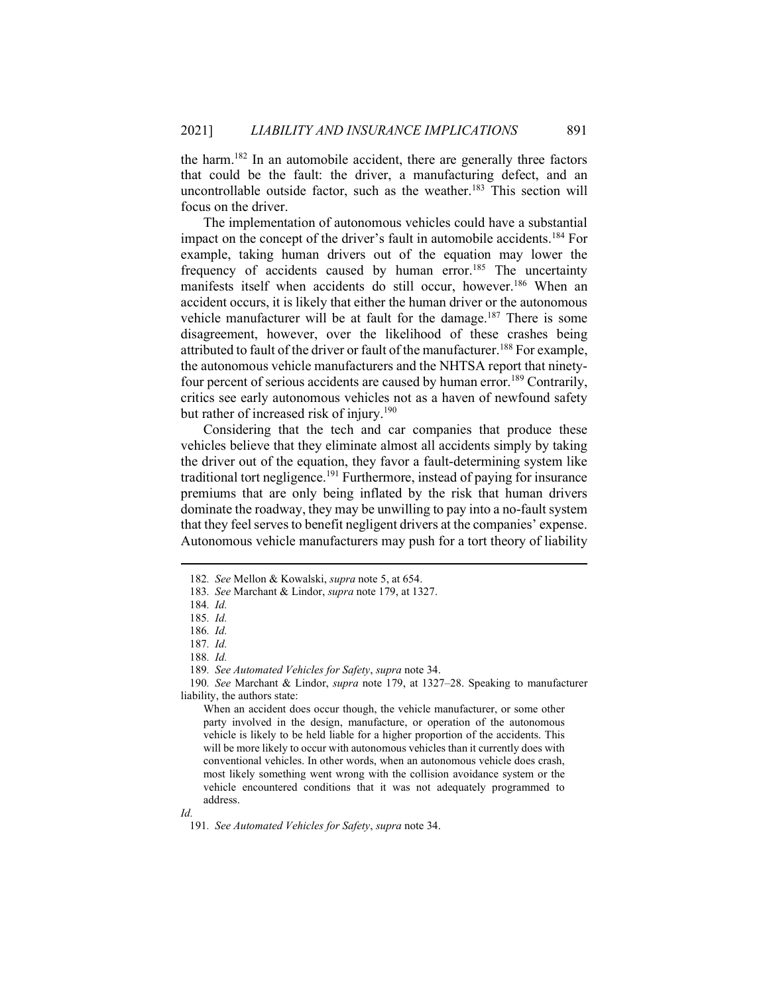the harm.<sup>182</sup> In an automobile accident, there are generally three factors that could be the fault: the driver, a manufacturing defect, and an uncontrollable outside factor, such as the weather.<sup>183</sup> This section will focus on the driver.

The implementation of autonomous vehicles could have a substantial impact on the concept of the driver's fault in automobile accidents.<sup>184</sup> For example, taking human drivers out of the equation may lower the frequency of accidents caused by human error.<sup>185</sup> The uncertainty manifests itself when accidents do still occur, however.<sup>186</sup> When an accident occurs, it is likely that either the human driver or the autonomous vehicle manufacturer will be at fault for the damage.<sup>187</sup> There is some disagreement, however, over the likelihood of these crashes being attributed to fault of the driver or fault of the manufacturer.<sup>188</sup> For example, the autonomous vehicle manufacturers and the NHTSA report that ninetyfour percent of serious accidents are caused by human error.<sup>189</sup> Contrarily, critics see early autonomous vehicles not as a haven of newfound safety but rather of increased risk of injury.<sup>190</sup>

Considering that the tech and car companies that produce these vehicles believe that they eliminate almost all accidents simply by taking the driver out of the equation, they favor a fault-determining system like traditional tort negligence.<sup>191</sup> Furthermore, instead of paying for insurance premiums that are only being inflated by the risk that human drivers dominate the roadway, they may be unwilling to pay into a no-fault system that they feel serves to benefit negligent drivers at the companies' expense. Autonomous vehicle manufacturers may push for a tort theory of liability

189. See Automated Vehicles for Safety, supra note 34.

190. See Marchant & Lindor, *supra* note 179, at 1327–28. Speaking to manufacturer liability, the authors state:

<sup>182</sup>. See Mellon & Kowalski, supra note 5, at 654.

<sup>183</sup>. See Marchant & Lindor, supra note 179, at 1327.

<sup>184</sup>. Id.

<sup>185</sup>. Id.

<sup>186</sup>. Id.

<sup>187</sup>. Id.

<sup>188</sup>. Id.

When an accident does occur though, the vehicle manufacturer, or some other party involved in the design, manufacture, or operation of the autonomous vehicle is likely to be held liable for a higher proportion of the accidents. This will be more likely to occur with autonomous vehicles than it currently does with conventional vehicles. In other words, when an autonomous vehicle does crash, most likely something went wrong with the collision avoidance system or the vehicle encountered conditions that it was not adequately programmed to address.

Id.

<sup>191</sup>. See Automated Vehicles for Safety, supra note 34.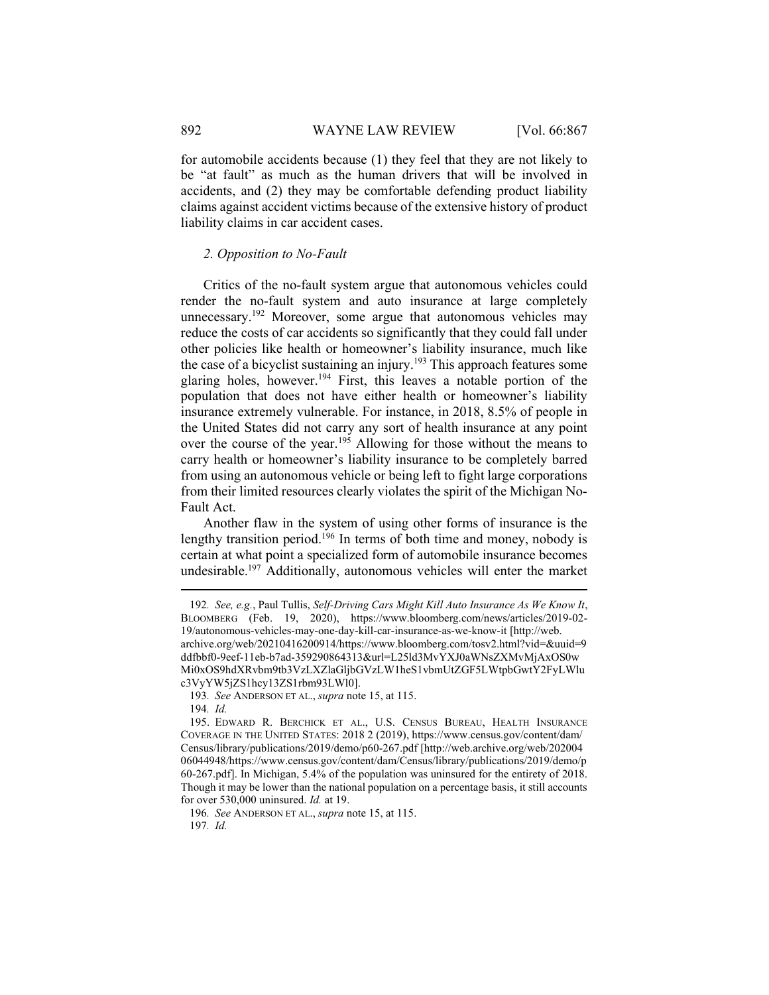for automobile accidents because (1) they feel that they are not likely to be "at fault" as much as the human drivers that will be involved in accidents, and (2) they may be comfortable defending product liability claims against accident victims because of the extensive history of product liability claims in car accident cases.

### 2. Opposition to No-Fault

Critics of the no-fault system argue that autonomous vehicles could render the no-fault system and auto insurance at large completely unnecessary.<sup>192</sup> Moreover, some argue that autonomous vehicles may reduce the costs of car accidents so significantly that they could fall under other policies like health or homeowner's liability insurance, much like the case of a bicyclist sustaining an injury.<sup>193</sup> This approach features some glaring holes, however.<sup>194</sup> First, this leaves a notable portion of the population that does not have either health or homeowner's liability insurance extremely vulnerable. For instance, in 2018, 8.5% of people in the United States did not carry any sort of health insurance at any point over the course of the year.<sup>195</sup> Allowing for those without the means to carry health or homeowner's liability insurance to be completely barred from using an autonomous vehicle or being left to fight large corporations from their limited resources clearly violates the spirit of the Michigan No-Fault Act.

Another flaw in the system of using other forms of insurance is the lengthy transition period.<sup>196</sup> In terms of both time and money, nobody is certain at what point a specialized form of automobile insurance becomes undesirable.<sup>197</sup> Additionally, autonomous vehicles will enter the market

<sup>192</sup>. See, e.g., Paul Tullis, Self-Driving Cars Might Kill Auto Insurance As We Know It, BLOOMBERG (Feb. 19, 2020), https://www.bloomberg.com/news/articles/2019-02- 19/autonomous-vehicles-may-one-day-kill-car-insurance-as-we-know-it [http://web. archive.org/web/20210416200914/https://www.bloomberg.com/tosv2.html?vid=&uuid=9 ddfbbf0-9eef-11eb-b7ad-359290864313&url=L25ld3MvYXJ0aWNsZXMvMjAxOS0w Mi0xOS9hdXRvbm9tb3VzLXZlaGljbGVzLW1heS1vbmUtZGF5LWtpbGwtY2FyLWlu c3VyYW5jZS1hcy13ZS1rbm93LWl0].

<sup>193</sup>. See ANDERSON ET AL., supra note 15, at 115.

<sup>194</sup>. Id.

 <sup>195.</sup> EDWARD R. BERCHICK ET AL., U.S. CENSUS BUREAU, HEALTH INSURANCE COVERAGE IN THE UNITED STATES: 2018 2 (2019), https://www.census.gov/content/dam/ Census/library/publications/2019/demo/p60-267.pdf [http://web.archive.org/web/202004 06044948/https://www.census.gov/content/dam/Census/library/publications/2019/demo/p 60-267.pdf]. In Michigan, 5.4% of the population was uninsured for the entirety of 2018. Though it may be lower than the national population on a percentage basis, it still accounts for over 530,000 uninsured. Id. at 19.

<sup>196</sup>. See ANDERSON ET AL., supra note 15, at 115.

<sup>197</sup>. Id.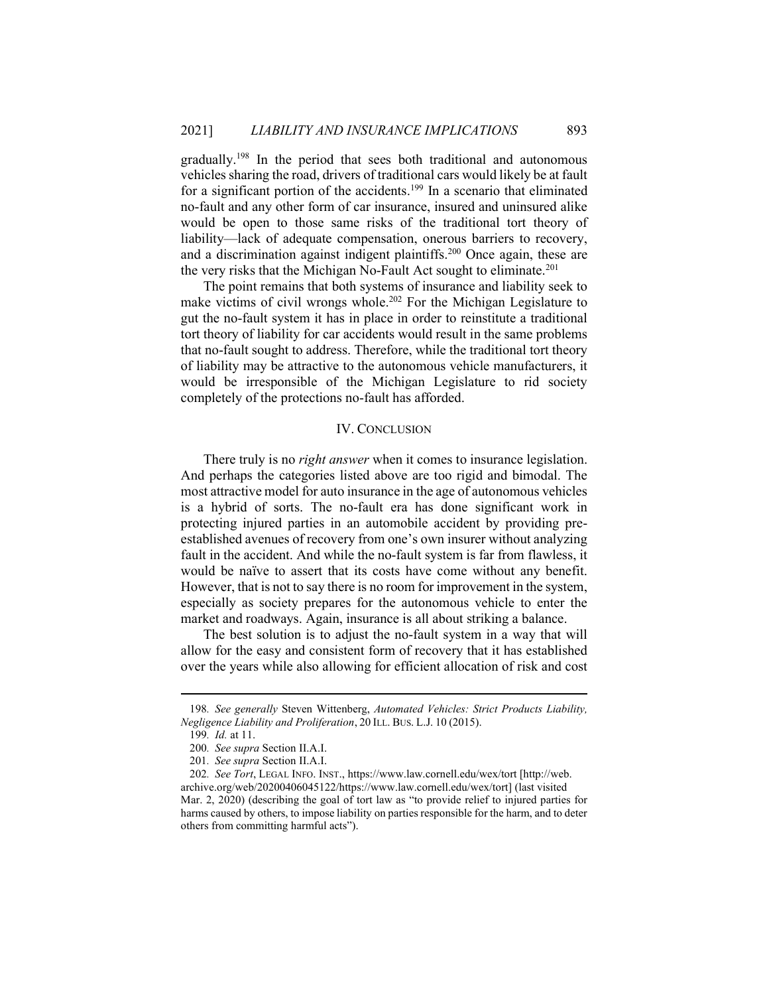gradually.<sup>198</sup> In the period that sees both traditional and autonomous vehicles sharing the road, drivers of traditional cars would likely be at fault for a significant portion of the accidents.<sup>199</sup> In a scenario that eliminated no-fault and any other form of car insurance, insured and uninsured alike would be open to those same risks of the traditional tort theory of liability—lack of adequate compensation, onerous barriers to recovery, and a discrimination against indigent plaintiffs.<sup>200</sup> Once again, these are the very risks that the Michigan No-Fault Act sought to eliminate.<sup>201</sup>

The point remains that both systems of insurance and liability seek to make victims of civil wrongs whole.<sup>202</sup> For the Michigan Legislature to gut the no-fault system it has in place in order to reinstitute a traditional tort theory of liability for car accidents would result in the same problems that no-fault sought to address. Therefore, while the traditional tort theory of liability may be attractive to the autonomous vehicle manufacturers, it would be irresponsible of the Michigan Legislature to rid society completely of the protections no-fault has afforded.

## IV. CONCLUSION

There truly is no *right answer* when it comes to insurance legislation. And perhaps the categories listed above are too rigid and bimodal. The most attractive model for auto insurance in the age of autonomous vehicles is a hybrid of sorts. The no-fault era has done significant work in protecting injured parties in an automobile accident by providing preestablished avenues of recovery from one's own insurer without analyzing fault in the accident. And while the no-fault system is far from flawless, it would be naïve to assert that its costs have come without any benefit. However, that is not to say there is no room for improvement in the system, especially as society prepares for the autonomous vehicle to enter the market and roadways. Again, insurance is all about striking a balance.

The best solution is to adjust the no-fault system in a way that will allow for the easy and consistent form of recovery that it has established over the years while also allowing for efficient allocation of risk and cost

<sup>198.</sup> See generally Steven Wittenberg, Automated Vehicles: Strict Products Liability, Negligence Liability and Proliferation, 20 ILL. BUS. L.J. 10 (2015).

<sup>199</sup>. Id. at 11.

<sup>200</sup>. See supra Section II.A.I.

<sup>201</sup>. See supra Section II.A.I.

<sup>202</sup>. See Tort, LEGAL INFO. INST., https://www.law.cornell.edu/wex/tort [http://web. archive.org/web/20200406045122/https://www.law.cornell.edu/wex/tort] (last visited Mar. 2, 2020) (describing the goal of tort law as "to provide relief to injured parties for harms caused by others, to impose liability on parties responsible for the harm, and to deter others from committing harmful acts").